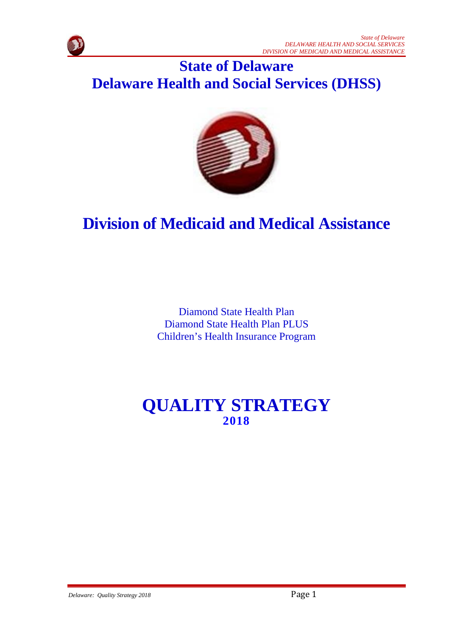

# **State of Delaware Delaware Health and Social Services (DHSS)**



# **Division of Medicaid and Medical Assistance**

Diamond State Health Plan Diamond State Health Plan PLUS Children's Health Insurance Program

# **QUALITY STRATEGY 2018**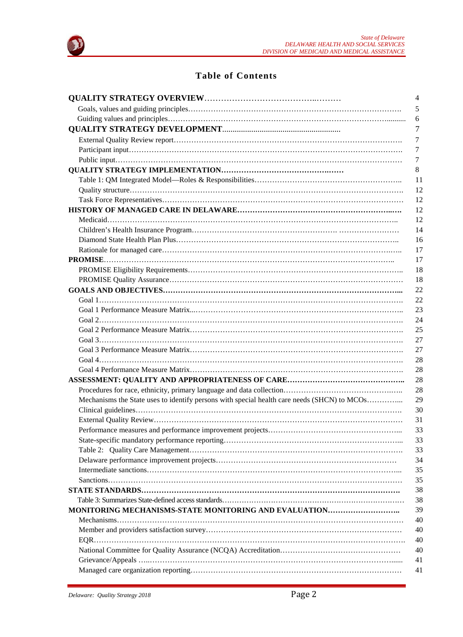

# **Table of Contents**

|                                                                                             | 4       |
|---------------------------------------------------------------------------------------------|---------|
|                                                                                             | 5       |
|                                                                                             | 6       |
|                                                                                             | 7       |
|                                                                                             | 7       |
|                                                                                             | 7       |
|                                                                                             | $\tau$  |
|                                                                                             | $\,8\,$ |
|                                                                                             | 11      |
|                                                                                             | 12      |
|                                                                                             | 12      |
|                                                                                             | 12      |
|                                                                                             | 12      |
|                                                                                             | 14      |
|                                                                                             | 16      |
|                                                                                             | 17      |
|                                                                                             | 17      |
|                                                                                             | 18      |
|                                                                                             | 18      |
|                                                                                             | 22      |
|                                                                                             | 22      |
|                                                                                             | 23      |
|                                                                                             | 24      |
|                                                                                             | 25      |
|                                                                                             | 27      |
|                                                                                             | 27      |
|                                                                                             | 28      |
|                                                                                             | 28      |
|                                                                                             | 28      |
|                                                                                             | 28      |
| Mechanisms the State uses to identify persons with special health care needs (SHCN) to MCOs | 29      |
|                                                                                             | 30      |
|                                                                                             | 31      |
|                                                                                             | 33      |
|                                                                                             | 33      |
|                                                                                             | 33      |
|                                                                                             | 34      |
|                                                                                             | 35      |
|                                                                                             | 35      |
|                                                                                             | 38      |
|                                                                                             | 38      |
| MONITORING MECHANISMS-STATE MONITORING AND EVALUATION                                       | 39      |
|                                                                                             | 40      |
|                                                                                             | 40      |
|                                                                                             | 40      |
|                                                                                             | 40      |
|                                                                                             | 41      |
|                                                                                             |         |
|                                                                                             | 41      |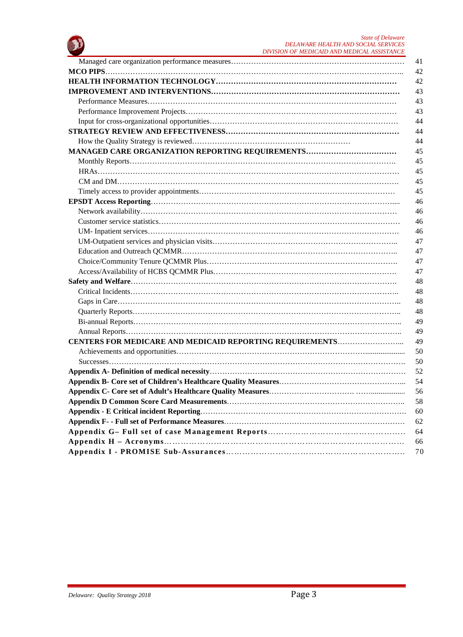

|                                                          | 41<br>42 |
|----------------------------------------------------------|----------|
|                                                          |          |
|                                                          | 42       |
|                                                          | 43       |
|                                                          | 43       |
|                                                          | 43       |
|                                                          | 44       |
|                                                          | 44       |
|                                                          | 44       |
|                                                          | 45       |
|                                                          | 45       |
|                                                          | 45       |
|                                                          | 45       |
|                                                          | 45       |
|                                                          | 46       |
|                                                          | 46       |
|                                                          | 46       |
|                                                          | 46       |
|                                                          | 47       |
|                                                          | 47       |
|                                                          | 47       |
|                                                          | 47       |
|                                                          | 48       |
|                                                          | 48       |
|                                                          | 48       |
|                                                          | 48       |
|                                                          | 49       |
|                                                          | 49       |
| CENTERS FOR MEDICARE AND MEDICAID REPORTING REQUIREMENTS | 49       |
|                                                          | 50       |
|                                                          | 50       |
|                                                          | 52       |
|                                                          | 54       |
|                                                          | 56       |
|                                                          | 58       |
|                                                          | 60       |
|                                                          |          |
|                                                          | 62       |
|                                                          | 64       |
|                                                          | 66       |
|                                                          | 70       |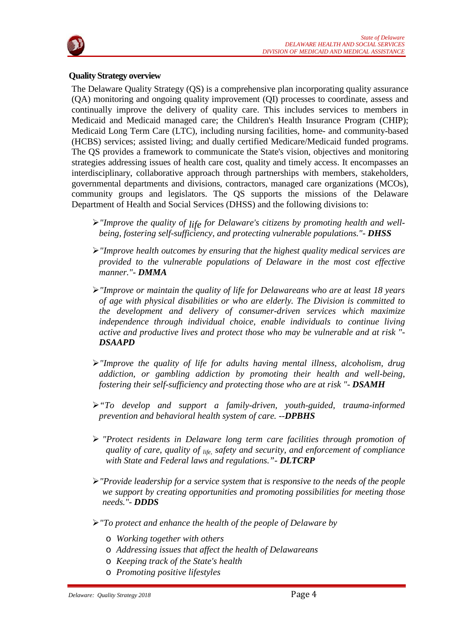

#### **Quality Strategy overview**

The Delaware Quality Strategy (QS) is a comprehensive plan incorporating quality assurance (QA) monitoring and ongoing quality improvement (QI) processes to coordinate, assess and continually improve the delivery of quality care. This includes services to members in Medicaid and Medicaid managed care; the Children's Health Insurance Program (CHIP); Medicaid Long Term Care (LTC), including nursing facilities, home- and community-based (HCBS) services; assisted living; and dually certified Medicare/Medicaid funded programs. The QS provides a framework to communicate the State's vision, objectives and monitoring strategies addressing issues of health care cost, quality and timely access. It encompasses an interdisciplinary, collaborative approach through partnerships with members, stakeholders, governmental departments and divisions, contractors, managed care organizations (MCOs), community groups and legislators. The QS supports the missions of the Delaware Department of Health and Social Services (DHSS) and the following divisions to:

- *"Improve the quality of life for Delaware's citizens by promoting health and wellbeing, fostering self-sufficiency, and protecting vulnerable populations."- DHSS*
- *"Improve health outcomes by ensuring that the highest quality medical services are provided to the vulnerable populations of Delaware in the most cost effective manner."- DMMA*
- *"Improve or maintain the quality of life for Delawareans who are at least 18 years of age with physical disabilities or who are elderly. The Division is committed to the development and delivery of consumer-driven services which maximize independence through individual choice, enable individuals to continue living active and productive lives and protect those who may be vulnerable and at risk "- DSAAPD*
- *"Improve the quality of life for adults having mental illness, alcoholism, drug addiction, or gambling addiction by promoting their health and well-being, fostering their self-sufficiency and protecting those who are at risk "- DSAMH*
- *"To develop and support a family-driven, youth-guided, trauma-informed prevention and behavioral health system of care. --DPBHS*
- *"Protect residents in Delaware long term care facilities through promotion of quality of care, quality of life, safety and security, and enforcement of compliance with State and Federal laws and regulations."- DLTCRP*
- *"Provide leadership for a service system that is responsive to the needs of the people we support by creating opportunities and promoting possibilities for meeting those needs."- DDDS*
- *"To protect and enhance the health of the people of Delaware by*
	- o *Working together with others*
	- o *Addressing issues that affect the health of Delawareans*
	- o *Keeping track of the State's health*
	- o *Promoting positive lifestyles*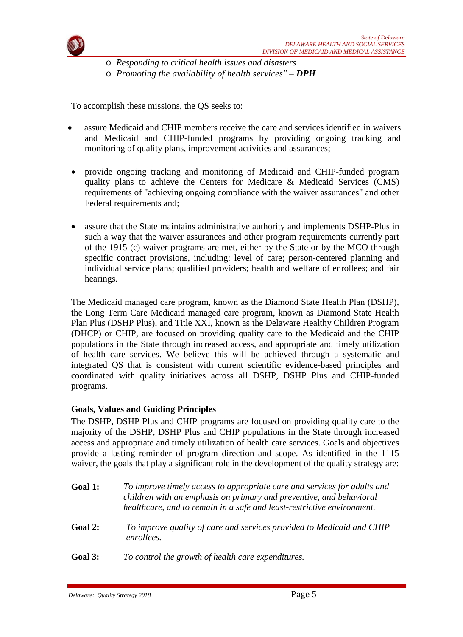

o *Responding to critical health issues and disasters*

o *Promoting the availability of health services" – DPH*

To accomplish these missions, the QS seeks to:

- assure Medicaid and CHIP members receive the care and services identified in waivers and Medicaid and CHIP-funded programs by providing ongoing tracking and monitoring of quality plans, improvement activities and assurances;
- provide ongoing tracking and monitoring of Medicaid and CHIP-funded program quality plans to achieve the Centers for Medicare & Medicaid Services (CMS) requirements of "achieving ongoing compliance with the waiver assurances" and other Federal requirements and;
- assure that the State maintains administrative authority and implements DSHP-Plus in such a way that the waiver assurances and other program requirements currently part of the 1915 (c) waiver programs are met, either by the State or by the MCO through specific contract provisions, including: level of care; person-centered planning and individual service plans; qualified providers; health and welfare of enrollees; and fair hearings.

The Medicaid managed care program, known as the Diamond State Health Plan (DSHP), the Long Term Care Medicaid managed care program, known as Diamond State Health Plan Plus (DSHP Plus), and Title XXI, known as the Delaware Healthy Children Program (DHCP) or CHIP, are focused on providing quality care to the Medicaid and the CHIP populations in the State through increased access, and appropriate and timely utilization of health care services. We believe this will be achieved through a systematic and integrated QS that is consistent with current scientific evidence-based principles and coordinated with quality initiatives across all DSHP, DSHP Plus and CHIP-funded programs.

# **Goals, Values and Guiding Principles**

The DSHP, DSHP Plus and CHIP programs are focused on providing quality care to the majority of the DSHP, DSHP Plus and CHIP populations in the State through increased access and appropriate and timely utilization of health care services. Goals and objectives provide a lasting reminder of program direction and scope. As identified in the 1115 waiver, the goals that play a significant role in the development of the quality strategy are:

- **Goal 1:** *To improve timely access to appropriate care and services for adults and children with an emphasis on primary and preventive, and behavioral healthcare, and to remain in a safe and least-restrictive environment.*
- **Goal 2:** *To improve quality of care and services provided to Medicaid and CHIP enrollees.*
- **Goal 3:** *To control the growth of health care expenditures.*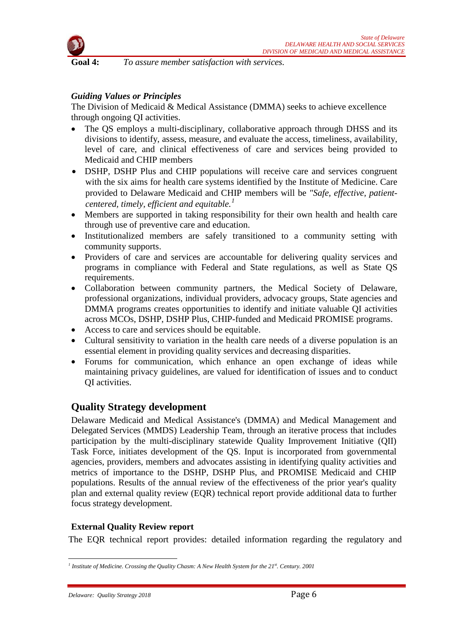

**Goal 4:** *To assure member satisfaction with services.*

# *Guiding Values or Principles*

The Division of Medicaid & Medical Assistance (DMMA) seeks to achieve excellence through ongoing QI activities.

- The OS employs a multi-disciplinary, collaborative approach through DHSS and its divisions to identify, assess, measure, and evaluate the access, timeliness, availability, level of care, and clinical effectiveness of care and services being provided to Medicaid and CHIP members
- DSHP, DSHP Plus and CHIP populations will receive care and services congruent with the six aims for health care systems identified by the Institute of Medicine. Care provided to Delaware Medicaid and CHIP members will be *"Safe, effective, patientcentered, timely, efficient and equitable.[1](#page-5-0)*
- Members are supported in taking responsibility for their own health and health care through use of preventive care and education.
- Institutionalized members are safely transitioned to a community setting with community supports.
- Providers of care and services are accountable for delivering quality services and programs in compliance with Federal and State regulations, as well as State QS requirements.
- Collaboration between community partners, the Medical Society of Delaware, professional organizations, individual providers, advocacy groups, State agencies and DMMA programs creates opportunities to identify and initiate valuable QI activities across MCOs, DSHP, DSHP Plus, CHIP-funded and Medicaid PROMISE programs.
- Access to care and services should be equitable.
- Cultural sensitivity to variation in the health care needs of a diverse population is an essential element in providing quality services and decreasing disparities.
- Forums for communication, which enhance an open exchange of ideas while maintaining privacy guidelines, are valued for identification of issues and to conduct QI activities.

# **Quality Strategy development**

Delaware Medicaid and Medical Assistance's (DMMA) and Medical Management and Delegated Services (MMDS) Leadership Team, through an iterative process that includes participation by the multi-disciplinary statewide Quality Improvement Initiative (QII) Task Force, initiates development of the QS. Input is incorporated from governmental agencies, providers, members and advocates assisting in identifying quality activities and metrics of importance to the DSHP, DSHP Plus, and PROMISE Medicaid and CHIP populations. Results of the annual review of the effectiveness of the prior year's quality plan and external quality review (EQR) technical report provide additional data to further focus strategy development.

# **External Quality Review report**

The EQR technical report provides: detailed information regarding the regulatory and

<span id="page-5-0"></span>*<sup>1</sup> Institute of Medicine. Crossing the Quality Chasm: A New Health System for the 21st. Century. 2001*  $\overline{a}$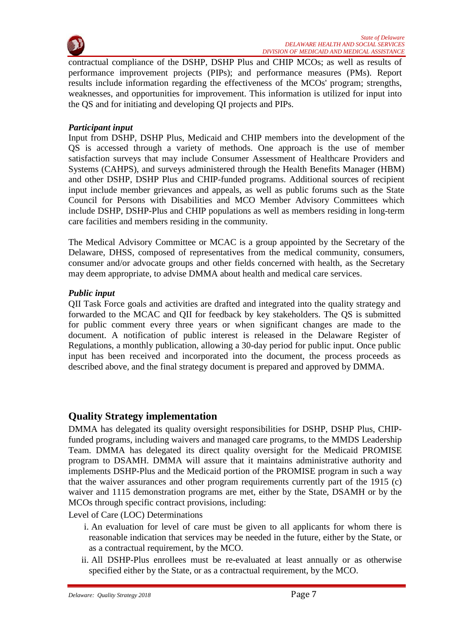

contractual compliance of the DSHP, DSHP Plus and CHIP MCOs; as well as results of performance improvement projects (PIPs); and performance measures (PMs). Report results include information regarding the effectiveness of the MCOs' program; strengths, weaknesses, and opportunities for improvement. This information is utilized for input into the QS and for initiating and developing QI projects and PIPs.

#### *Participant input*

Input from DSHP, DSHP Plus, Medicaid and CHIP members into the development of the QS is accessed through a variety of methods. One approach is the use of member satisfaction surveys that may include Consumer Assessment of Healthcare Providers and Systems (CAHPS), and surveys administered through the Health Benefits Manager (HBM) and other DSHP, DSHP Plus and CHIP-funded programs. Additional sources of recipient input include member grievances and appeals, as well as public forums such as the State Council for Persons with Disabilities and MCO Member Advisory Committees which include DSHP, DSHP-Plus and CHIP populations as well as members residing in long-term care facilities and members residing in the community.

The Medical Advisory Committee or MCAC is a group appointed by the Secretary of the Delaware, DHSS, composed of representatives from the medical community, consumers, consumer and/or advocate groups and other fields concerned with health, as the Secretary may deem appropriate, to advise DMMA about health and medical care services.

#### *Public input*

QII Task Force goals and activities are drafted and integrated into the quality strategy and forwarded to the MCAC and QII for feedback by key stakeholders. The QS is submitted for public comment every three years or when significant changes are made to the document. A notification of public interest is released in the Delaware Register of Regulations, a monthly publication, allowing a 30-day period for public input. Once public input has been received and incorporated into the document, the process proceeds as described above, and the final strategy document is prepared and approved by DMMA.

# **Quality Strategy implementation**

DMMA has delegated its quality oversight responsibilities for DSHP, DSHP Plus, CHIPfunded programs, including waivers and managed care programs, to the MMDS Leadership Team. DMMA has delegated its direct quality oversight for the Medicaid PROMISE program to DSAMH. DMMA will assure that it maintains administrative authority and implements DSHP-Plus and the Medicaid portion of the PROMISE program in such a way that the waiver assurances and other program requirements currently part of the 1915 (c) waiver and 1115 demonstration programs are met, either by the State, DSAMH or by the MCOs through specific contract provisions, including:

Level of Care (LOC) Determinations

- i. An evaluation for level of care must be given to all applicants for whom there is reasonable indication that services may be needed in the future, either by the State, or as a contractual requirement, by the MCO.
- ii. All DSHP-Plus enrollees must be re-evaluated at least annually or as otherwise specified either by the State, or as a contractual requirement, by the MCO.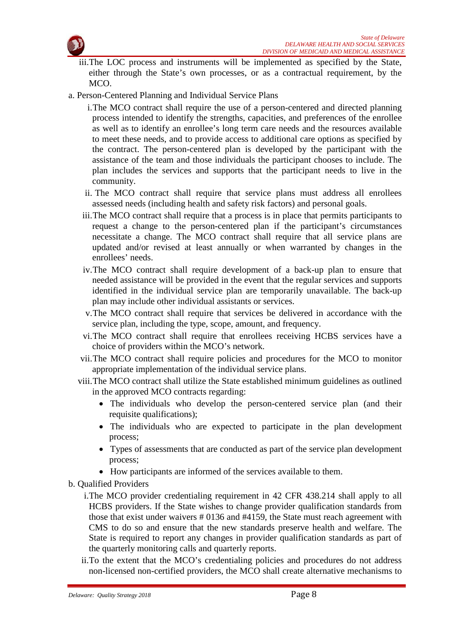

- iii.The LOC process and instruments will be implemented as specified by the State, either through the State's own processes, or as a contractual requirement, by the MCO.
- a. Person-Centered Planning and Individual Service Plans
	- i.The MCO contract shall require the use of a person-centered and directed planning process intended to identify the strengths, capacities, and preferences of the enrollee as well as to identify an enrollee's long term care needs and the resources available to meet these needs, and to provide access to additional care options as specified by the contract. The person-centered plan is developed by the participant with the assistance of the team and those individuals the participant chooses to include. The plan includes the services and supports that the participant needs to live in the community.
	- ii. The MCO contract shall require that service plans must address all enrollees assessed needs (including health and safety risk factors) and personal goals.
	- iii.The MCO contract shall require that a process is in place that permits participants to request a change to the person-centered plan if the participant's circumstances necessitate a change. The MCO contract shall require that all service plans are updated and/or revised at least annually or when warranted by changes in the enrollees' needs.
	- iv.The MCO contract shall require development of a back-up plan to ensure that needed assistance will be provided in the event that the regular services and supports identified in the individual service plan are temporarily unavailable. The back-up plan may include other individual assistants or services.
	- v.The MCO contract shall require that services be delivered in accordance with the service plan, including the type, scope, amount, and frequency.
	- vi.The MCO contract shall require that enrollees receiving HCBS services have a choice of providers within the MCO's network.
	- vii.The MCO contract shall require policies and procedures for the MCO to monitor appropriate implementation of the individual service plans.
	- viii.The MCO contract shall utilize the State established minimum guidelines as outlined in the approved MCO contracts regarding:
		- The individuals who develop the person-centered service plan (and their requisite qualifications);
		- The individuals who are expected to participate in the plan development process;
		- Types of assessments that are conducted as part of the service plan development process;
		- How participants are informed of the services available to them.
- b. Qualified Providers
	- i.The MCO provider credentialing requirement in 42 CFR 438.214 shall apply to all HCBS providers. If the State wishes to change provider qualification standards from those that exist under waivers # 0136 and #4159, the State must reach agreement with CMS to do so and ensure that the new standards preserve health and welfare. The State is required to report any changes in provider qualification standards as part of the quarterly monitoring calls and quarterly reports.
	- ii.To the extent that the MCO's credentialing policies and procedures do not address non-licensed non-certified providers, the MCO shall create alternative mechanisms to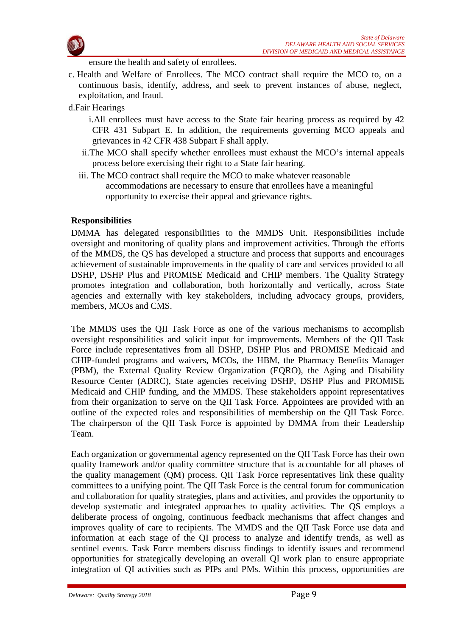

ensure the health and safety of enrollees.

- c. Health and Welfare of Enrollees. The MCO contract shall require the MCO to, on a continuous basis, identify, address, and seek to prevent instances of abuse, neglect, exploitation, and fraud.
- d.Fair Hearings
	- i.All enrollees must have access to the State fair hearing process as required by 42 CFR 431 Subpart E. In addition, the requirements governing MCO appeals and grievances in 42 CFR 438 Subpart F shall apply.
	- ii.The MCO shall specify whether enrollees must exhaust the MCO's internal appeals process before exercising their right to a State fair hearing.
	- iii. The MCO contract shall require the MCO to make whatever reasonable accommodations are necessary to ensure that enrollees have a meaningful opportunity to exercise their appeal and grievance rights.

#### **Responsibilities**

DMMA has delegated responsibilities to the MMDS Unit. Responsibilities include oversight and monitoring of quality plans and improvement activities. Through the efforts of the MMDS, the QS has developed a structure and process that supports and encourages achievement of sustainable improvements in the quality of care and services provided to all DSHP, DSHP Plus and PROMISE Medicaid and CHIP members. The Quality Strategy promotes integration and collaboration, both horizontally and vertically, across State agencies and externally with key stakeholders, including advocacy groups, providers, members, MCOs and CMS.

The MMDS uses the QII Task Force as one of the various mechanisms to accomplish oversight responsibilities and solicit input for improvements. Members of the QII Task Force include representatives from all DSHP, DSHP Plus and PROMISE Medicaid and CHIP-funded programs and waivers, MCOs, the HBM, the Pharmacy Benefits Manager (PBM), the External Quality Review Organization (EQRO), the Aging and Disability Resource Center (ADRC), State agencies receiving DSHP, DSHP Plus and PROMISE Medicaid and CHIP funding, and the MMDS. These stakeholders appoint representatives from their organization to serve on the QII Task Force. Appointees are provided with an outline of the expected roles and responsibilities of membership on the QII Task Force. The chairperson of the QII Task Force is appointed by DMMA from their Leadership Team.

Each organization or governmental agency represented on the QII Task Force has their own quality framework and/or quality committee structure that is accountable for all phases of the quality management (QM) process. QII Task Force representatives link these quality committees to a unifying point. The QII Task Force is the central forum for communication and collaboration for quality strategies, plans and activities, and provides the opportunity to develop systematic and integrated approaches to quality activities. The QS employs a deliberate process of ongoing, continuous feedback mechanisms that affect changes and improves quality of care to recipients. The MMDS and the QII Task Force use data and information at each stage of the QI process to analyze and identify trends, as well as sentinel events. Task Force members discuss findings to identify issues and recommend opportunities for strategically developing an overall QI work plan to ensure appropriate integration of QI activities such as PIPs and PMs. Within this process, opportunities are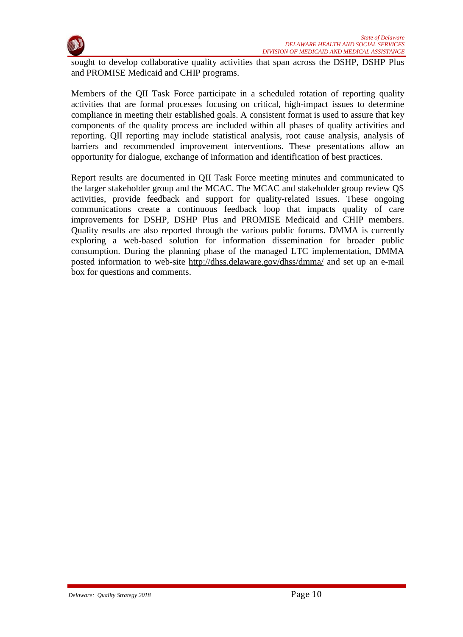

sought to develop collaborative quality activities that span across the DSHP, DSHP Plus and PROMISE Medicaid and CHIP programs.

Members of the QII Task Force participate in a scheduled rotation of reporting quality activities that are formal processes focusing on critical, high-impact issues to determine compliance in meeting their established goals. A consistent format is used to assure that key components of the quality process are included within all phases of quality activities and reporting. QII reporting may include statistical analysis, root cause analysis, analysis of barriers and recommended improvement interventions. These presentations allow an opportunity for dialogue, exchange of information and identification of best practices.

Report results are documented in QII Task Force meeting minutes and communicated to the larger stakeholder group and the MCAC. The MCAC and stakeholder group review QS activities, provide feedback and support for quality-related issues. These ongoing communications create a continuous feedback loop that impacts quality of care improvements for DSHP, DSHP Plus and PROMISE Medicaid and CHIP members. Quality results are also reported through the various public forums. DMMA is currently exploring a web-based solution for information dissemination for broader public consumption. During the planning phase of the managed LTC implementation, DMMA posted information to web-site <http://dhss.delaware.gov/dhss/dmma/> and set up an e-mail box for questions and comments.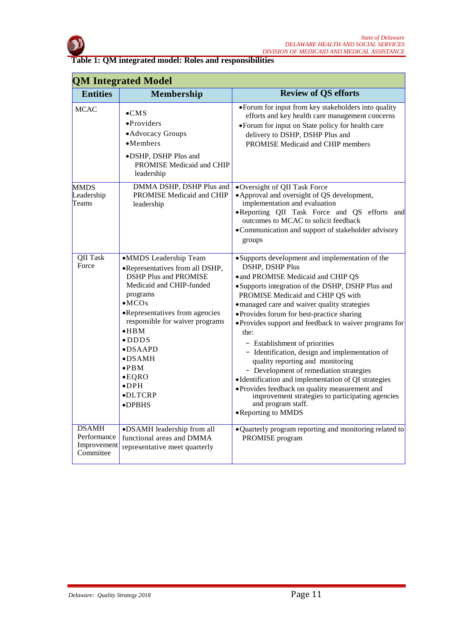

**Table 1: QM integrated model: Roles and responsibilities**

|                                                         | <b>QM Integrated Model</b>                                                                                                                                                                                                                                                                                                                                                 |                                                                                                                                                                                                                                                                                                                                                                                                                                                                                                                                                                                                                                                                                                                                                      |  |  |  |
|---------------------------------------------------------|----------------------------------------------------------------------------------------------------------------------------------------------------------------------------------------------------------------------------------------------------------------------------------------------------------------------------------------------------------------------------|------------------------------------------------------------------------------------------------------------------------------------------------------------------------------------------------------------------------------------------------------------------------------------------------------------------------------------------------------------------------------------------------------------------------------------------------------------------------------------------------------------------------------------------------------------------------------------------------------------------------------------------------------------------------------------------------------------------------------------------------------|--|--|--|
| <b>Entities</b>                                         | Membership                                                                                                                                                                                                                                                                                                                                                                 | <b>Review of QS efforts</b>                                                                                                                                                                                                                                                                                                                                                                                                                                                                                                                                                                                                                                                                                                                          |  |  |  |
| <b>MCAC</b>                                             | $\bullet$ CMS<br>$\bullet$ Providers<br>• Advocacy Groups<br>$•$ Members<br>· DSHP, DSHP Plus and<br>PROMISE Medicaid and CHIP<br>leadership                                                                                                                                                                                                                               | • Forum for input from key stakeholders into quality<br>efforts and key health care management concerns<br>• Forum for input on State policy for health care<br>delivery to DSHP, DSHP Plus and<br>PROMISE Medicaid and CHIP members                                                                                                                                                                                                                                                                                                                                                                                                                                                                                                                 |  |  |  |
| <b>MMDS</b><br>Leadership<br>Teams                      | DMMA DSHP, DSHP Plus and<br>PROMISE Medicaid and CHIP<br>leadership                                                                                                                                                                                                                                                                                                        | •Oversight of QII Task Force<br>• Approval and oversight of QS development,<br>implementation and evaluation<br>.Reporting QII Task Force and QS efforts and<br>outcomes to MCAC to solicit feedback<br>•Communication and support of stakeholder advisory<br>groups                                                                                                                                                                                                                                                                                                                                                                                                                                                                                 |  |  |  |
| <b>QII Task</b><br>Force                                | •MMDS Leadership Team<br>•Representatives from all DSHP,<br><b>DSHP Plus and PROMISE</b><br>Medicaid and CHIP-funded<br>programs<br>$\bullet$ MCOs<br>•Representatives from agencies<br>responsible for waiver programs<br>$\bullet$ HBM<br>$\bullet$ DDDS<br>$\bullet$ DSAAPD<br>$\bullet$ DSAMH<br>$\bullet$ PBM<br>$\bullet$ EQRO<br>$\bullet$ DPH<br>·DLTCRP<br>•DPBHS | •Supports development and implementation of the<br><b>DSHP, DSHP Plus</b><br>• and PROMISE Medicaid and CHIP QS<br>• Supports integration of the DSHP, DSHP Plus and<br>PROMISE Medicaid and CHIP QS with<br>·managed care and waiver quality strategies<br>• Provides forum for best-practice sharing<br>• Provides support and feedback to waiver programs for<br>the:<br>- Establishment of priorities<br>- Identification, design and implementation of<br>quality reporting and monitoring<br>- Development of remediation strategies<br>•Identification and implementation of QI strategies<br>• Provides feedback on quality measurement and<br>improvement strategies to participating agencies<br>and program staff.<br>• Reporting to MMDS |  |  |  |
| <b>DSAMH</b><br>Performance<br>Improvement<br>Committee | •DSAMH leadership from all<br>functional areas and DMMA<br>representative meet quarterly                                                                                                                                                                                                                                                                                   | • Quarterly program reporting and monitoring related to<br>PROMISE program                                                                                                                                                                                                                                                                                                                                                                                                                                                                                                                                                                                                                                                                           |  |  |  |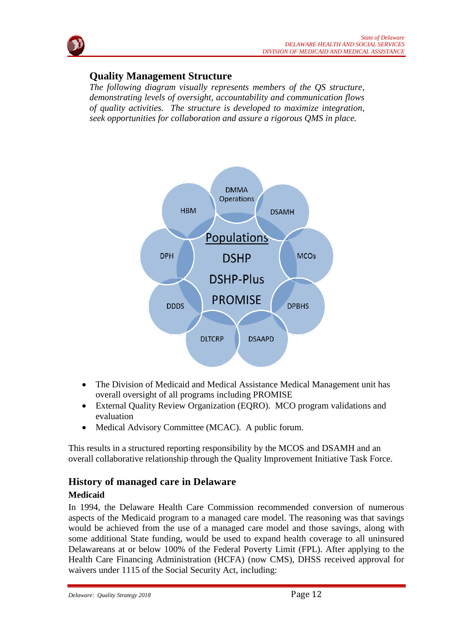# **Quality Management Structure**

*The following diagram visually represents members of the QS structure, demonstrating levels of oversight, accountability and communication flows of quality activities. The structure is developed to maximize integration, seek opportunities for collaboration and assure a rigorous QMS in place.*



- The Division of Medicaid and Medical Assistance Medical Management unit has overall oversight of all programs including PROMISE
- External Quality Review Organization (EQRO). MCO program validations and evaluation
- Medical Advisory Committee (MCAC). A public forum.

This results in a structured reporting responsibility by the MCOS and DSAMH and an overall collaborative relationship through the Quality Improvement Initiative Task Force.

# **History of managed care in Delaware**

# **Medicaid**

In 1994, the Delaware Health Care Commission recommended conversion of numerous aspects of the Medicaid program to a managed care model. The reasoning was that savings would be achieved from the use of a managed care model and those savings, along with some additional State funding, would be used to expand health coverage to all uninsured Delawareans at or below 100% of the Federal Poverty Limit (FPL). After applying to the Health Care Financing Administration (HCFA) (now CMS), DHSS received approval for waivers under 1115 of the Social Security Act, including: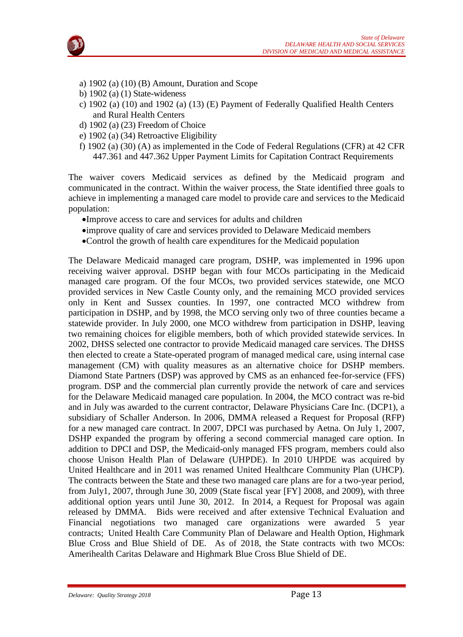



- a) 1902 (a) (10) (B) Amount, Duration and Scope
- b) 1902 (a) (1) State-wideness
- c) 1902 (a) (10) and 1902 (a) (13) (E) Payment of Federally Qualified Health Centers and Rural Health Centers
- d) 1902 (a) (23) Freedom of Choice
- e) 1902 (a) (34) Retroactive Eligibility
- f) 1902 (a) (30) (A) as implemented in the Code of Federal Regulations (CFR) at 42 CFR 447.361 and 447.362 Upper Payment Limits for Capitation Contract Requirements

The waiver covers Medicaid services as defined by the Medicaid program and communicated in the contract. Within the waiver process, the State identified three goals to achieve in implementing a managed care model to provide care and services to the Medicaid population:

- •Improve access to care and services for adults and children
- •improve quality of care and services provided to Delaware Medicaid members
- •Control the growth of health care expenditures for the Medicaid population

The Delaware Medicaid managed care program, DSHP, was implemented in 1996 upon receiving waiver approval. DSHP began with four MCOs participating in the Medicaid managed care program. Of the four MCOs, two provided services statewide, one MCO provided services in New Castle County only, and the remaining MCO provided services only in Kent and Sussex counties. In 1997, one contracted MCO withdrew from participation in DSHP, and by 1998, the MCO serving only two of three counties became a statewide provider. In July 2000, one MCO withdrew from participation in DSHP, leaving two remaining choices for eligible members, both of which provided statewide services. In 2002, DHSS selected one contractor to provide Medicaid managed care services. The DHSS then elected to create a State-operated program of managed medical care, using internal case management (CM) with quality measures as an alternative choice for DSHP members. Diamond State Partners (DSP) was approved by CMS as an enhanced fee-for-service (FFS) program. DSP and the commercial plan currently provide the network of care and services for the Delaware Medicaid managed care population. In 2004, the MCO contract was re-bid and in July was awarded to the current contractor, Delaware Physicians Care Inc. (DCP1), a subsidiary of Schaller Anderson. In 2006, DMMA released a Request for Proposal (RFP) for a new managed care contract. In 2007, DPCI was purchased by Aetna. On July 1, 2007, DSHP expanded the program by offering a second commercial managed care option. In addition to DPCI and DSP, the Medicaid-only managed FFS program, members could also choose Unison Health Plan of Delaware (UHPDE). In 2010 UHPDE was acquired by United Healthcare and in 2011 was renamed United Healthcare Community Plan (UHCP). The contracts between the State and these two managed care plans are for a two-year period, from July1, 2007, through June 30, 2009 (State fiscal year [FY] 2008, and 2009), with three additional option years until June 30, 2012. In 2014, a Request for Proposal was again released by DMMA. Bids were received and after extensive Technical Evaluation and Financial negotiations two managed care organizations were awarded 5 year contracts; United Health Care Community Plan of Delaware and Health Option, Highmark Blue Cross and Blue Shield of DE. As of 2018, the State contracts with two MCOs: Amerihealth Caritas Delaware and Highmark Blue Cross Blue Shield of DE.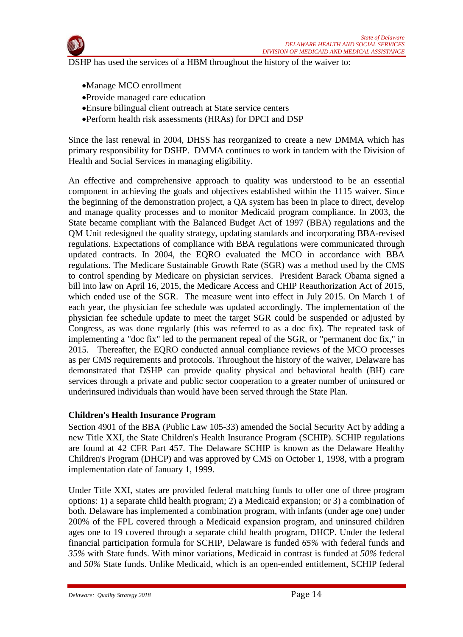

DSHP has used the services of a HBM throughout the history of the waiver to:

- •Manage MCO enrollment
- •Provide managed care education
- •Ensure bilingual client outreach at State service centers
- •Perform health risk assessments (HRAs) for DPCI and DSP

Since the last renewal in 2004, DHSS has reorganized to create a new DMMA which has primary responsibility for DSHP. DMMA continues to work in tandem with the Division of Health and Social Services in managing eligibility.

An effective and comprehensive approach to quality was understood to be an essential component in achieving the goals and objectives established within the 1115 waiver. Since the beginning of the demonstration project, a QA system has been in place to direct, develop and manage quality processes and to monitor Medicaid program compliance. In 2003, the State became compliant with the Balanced Budget Act of 1997 (BBA) regulations and the QM Unit redesigned the quality strategy, updating standards and incorporating BBA-revised regulations. Expectations of compliance with BBA regulations were communicated through updated contracts. In 2004, the EQRO evaluated the MCO in accordance with BBA regulations. The Medicare Sustainable Growth Rate (SGR) was a method used by the CMS to control spending by Medicare on physician services. President Barack Obama signed a bill into law on April 16, 2015, the Medicare Access and CHIP Reauthorization Act of 2015, which ended use of the SGR. The measure went into effect in July 2015. On March 1 of each year, the physician fee schedule was updated accordingly. The implementation of the physician fee schedule update to meet the target SGR could be suspended or adjusted by Congress, as was done regularly (this was referred to as a doc fix). The repeated task of implementing a "doc fix" led to the permanent repeal of the SGR, or "permanent doc fix," in 2015. Thereafter, the EQRO conducted annual compliance reviews of the MCO processes as per CMS requirements and protocols. Throughout the history of the waiver, Delaware has demonstrated that DSHP can provide quality physical and behavioral health (BH) care services through a private and public sector cooperation to a greater number of uninsured or underinsured individuals than would have been served through the State Plan.

#### **Children's Health Insurance Program**

Section 4901 of the BBA (Public Law 105-33) amended the Social Security Act by adding a new Title XXI, the State Children's Health Insurance Program (SCHIP). SCHIP regulations are found at 42 CFR Part 457. The Delaware SCHIP is known as the Delaware Healthy Children's Program (DHCP) and was approved by CMS on October 1, 1998, with a program implementation date of January 1, 1999.

Under Title XXI, states are provided federal matching funds to offer one of three program options: 1) a separate child health program; 2) a Medicaid expansion; or 3) a combination of both. Delaware has implemented a combination program, with infants (under age one) under 200% of the FPL covered through a Medicaid expansion program, and uninsured children ages one to 19 covered through a separate child health program, DHCP. Under the federal financial participation formula for SCHIP, Delaware is funded *65%* with federal funds and *35%* with State funds. With minor variations, Medicaid in contrast is funded at *50%* federal and *50%* State funds. Unlike Medicaid, which is an open-ended entitlement, SCHIP federal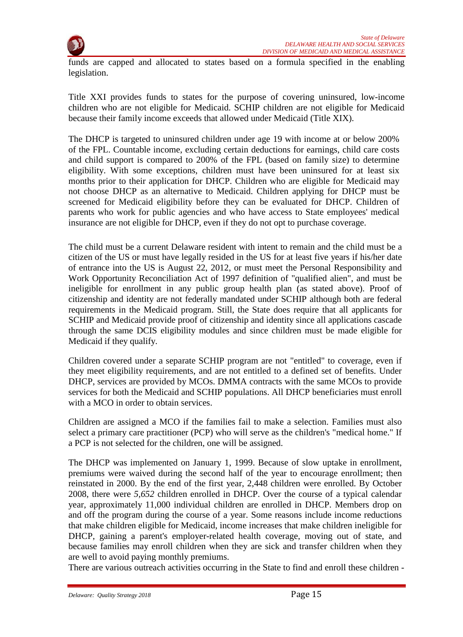

funds are capped and allocated to states based on a formula specified in the enabling legislation.

Title XXI provides funds to states for the purpose of covering uninsured, low-income children who are not eligible for Medicaid. SCHIP children are not eligible for Medicaid because their family income exceeds that allowed under Medicaid (Title XIX).

The DHCP is targeted to uninsured children under age 19 with income at or below 200% of the FPL. Countable income, excluding certain deductions for earnings, child care costs and child support is compared to 200% of the FPL (based on family size) to determine eligibility. With some exceptions, children must have been uninsured for at least six months prior to their application for DHCP. Children who are eligible for Medicaid may not choose DHCP as an alternative to Medicaid. Children applying for DHCP must be screened for Medicaid eligibility before they can be evaluated for DHCP. Children of parents who work for public agencies and who have access to State employees' medical insurance are not eligible for DHCP, even if they do not opt to purchase coverage.

The child must be a current Delaware resident with intent to remain and the child must be a citizen of the US or must have legally resided in the US for at least five years if his/her date of entrance into the US is August 22, 2012, or must meet the Personal Responsibility and Work Opportunity Reconciliation Act of 1997 definition of "qualified alien", and must be ineligible for enrollment in any public group health plan (as stated above). Proof of citizenship and identity are not federally mandated under SCHIP although both are federal requirements in the Medicaid program. Still, the State does require that all applicants for SCHIP and Medicaid provide proof of citizenship and identity since all applications cascade through the same DCIS eligibility modules and since children must be made eligible for Medicaid if they qualify.

Children covered under a separate SCHIP program are not "entitled" to coverage, even if they meet eligibility requirements, and are not entitled to a defined set of benefits. Under DHCP, services are provided by MCOs. DMMA contracts with the same MCOs to provide services for both the Medicaid and SCHIP populations. All DHCP beneficiaries must enroll with a MCO in order to obtain services.

Children are assigned a MCO if the families fail to make a selection. Families must also select a primary care practitioner (PCP) who will serve as the children's "medical home." If a PCP is not selected for the children, one will be assigned.

The DHCP was implemented on January 1, 1999. Because of slow uptake in enrollment, premiums were waived during the second half of the year to encourage enrollment; then reinstated in 2000. By the end of the first year, 2,448 children were enrolled. By October 2008, there were *5,652* children enrolled in DHCP. Over the course of a typical calendar year, approximately 11,000 individual children are enrolled in DHCP. Members drop on and off the program during the course of a year. Some reasons include income reductions that make children eligible for Medicaid, income increases that make children ineligible for DHCP, gaining a parent's employer-related health coverage, moving out of state, and because families may enroll children when they are sick and transfer children when they are well to avoid paying monthly premiums.

There are various outreach activities occurring in the State to find and enroll these children -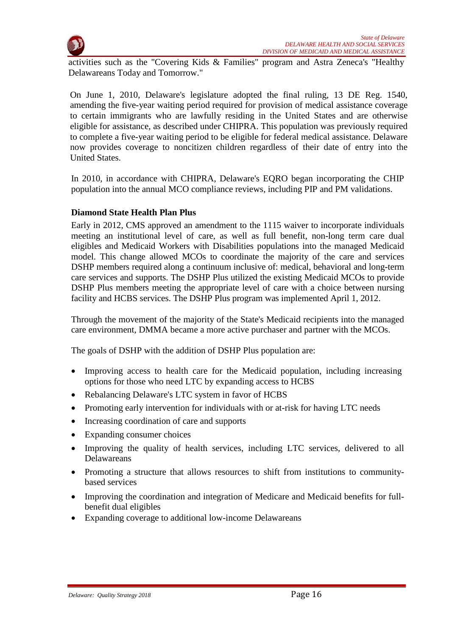

activities such as the "Covering Kids & Families" program and Astra Zeneca's "Healthy Delawareans Today and Tomorrow."

On June 1, 2010, Delaware's legislature adopted the final ruling, 13 DE Reg. 1540, amending the five-year waiting period required for provision of medical assistance coverage to certain immigrants who are lawfully residing in the United States and are otherwise eligible for assistance, as described under CHIPRA. This population was previously required to complete a five-year waiting period to be eligible for federal medical assistance. Delaware now provides coverage to noncitizen children regardless of their date of entry into the United States.

In 2010, in accordance with CHIPRA, Delaware's EQRO began incorporating the CHIP population into the annual MCO compliance reviews, including PIP and PM validations.

# **Diamond State Health Plan Plus**

Early in 2012, CMS approved an amendment to the 1115 waiver to incorporate individuals meeting an institutional level of care, as well as full benefit, non-long term care dual eligibles and Medicaid Workers with Disabilities populations into the managed Medicaid model. This change allowed MCOs to coordinate the majority of the care and services DSHP members required along a continuum inclusive of: medical, behavioral and long-term care services and supports. The DSHP Plus utilized the existing Medicaid MCOs to provide DSHP Plus members meeting the appropriate level of care with a choice between nursing facility and HCBS services. The DSHP Plus program was implemented April 1, 2012.

Through the movement of the majority of the State's Medicaid recipients into the managed care environment, DMMA became a more active purchaser and partner with the MCOs.

The goals of DSHP with the addition of DSHP Plus population are:

- Improving access to health care for the Medicaid population, including increasing options for those who need LTC by expanding access to HCBS
- Rebalancing Delaware's LTC system in favor of HCBS
- Promoting early intervention for individuals with or at-risk for having LTC needs
- Increasing coordination of care and supports
- Expanding consumer choices
- Improving the quality of health services, including LTC services, delivered to all Delawareans
- Promoting a structure that allows resources to shift from institutions to communitybased services
- Improving the coordination and integration of Medicare and Medicaid benefits for fullbenefit dual eligibles
- Expanding coverage to additional low-income Delawareans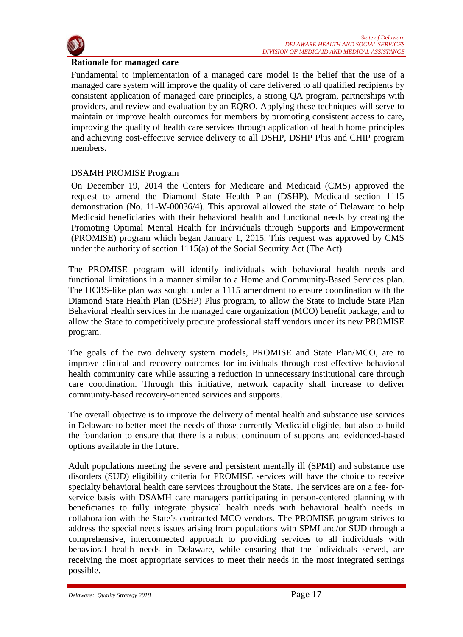

#### **Rationale for managed care**

Fundamental to implementation of a managed care model is the belief that the use of a managed care system will improve the quality of care delivered to all qualified recipients by consistent application of managed care principles, a strong QA program, partnerships with providers, and review and evaluation by an EQRO. Applying these techniques will serve to maintain or improve health outcomes for members by promoting consistent access to care, improving the quality of health care services through application of health home principles and achieving cost-effective service delivery to all DSHP, DSHP Plus and CHIP program members.

# DSAMH PROMISE Program

On December 19, 2014 the Centers for Medicare and Medicaid (CMS) approved the request to amend the Diamond State Health Plan (DSHP), Medicaid section 1115 demonstration (No. 11-W-00036/4). This approval allowed the state of Delaware to help Medicaid beneficiaries with their behavioral health and functional needs by creating the Promoting Optimal Mental Health for Individuals through Supports and Empowerment (PROMISE) program which began January 1, 2015. This request was approved by CMS under the authority of section 1115(a) of the Social Security Act (The Act).

The PROMISE program will identify individuals with behavioral health needs and functional limitations in a manner similar to a Home and Community-Based Services plan. The HCBS-like plan was sought under a 1115 amendment to ensure coordination with the Diamond State Health Plan (DSHP) Plus program, to allow the State to include State Plan Behavioral Health services in the managed care organization (MCO) benefit package, and to allow the State to competitively procure professional staff vendors under its new PROMISE program.

The goals of the two delivery system models, PROMISE and State Plan/MCO, are to improve clinical and recovery outcomes for individuals through cost-effective behavioral health community care while assuring a reduction in unnecessary institutional care through care coordination. Through this initiative, network capacity shall increase to deliver community-based recovery-oriented services and supports.

The overall objective is to improve the delivery of mental health and substance use services in Delaware to better meet the needs of those currently Medicaid eligible, but also to build the foundation to ensure that there is a robust continuum of supports and evidenced-based options available in the future.

Adult populations meeting the severe and persistent mentally ill (SPMI) and substance use disorders (SUD) eligibility criteria for PROMISE services will have the choice to receive specialty behavioral health care services throughout the State. The services are on a fee- forservice basis with DSAMH care managers participating in person-centered planning with beneficiaries to fully integrate physical health needs with behavioral health needs in collaboration with the State's contracted MCO vendors. The PROMISE program strives to address the special needs issues arising from populations with SPMI and/or SUD through a comprehensive, interconnected approach to providing services to all individuals with behavioral health needs in Delaware, while ensuring that the individuals served, are receiving the most appropriate services to meet their needs in the most integrated settings possible.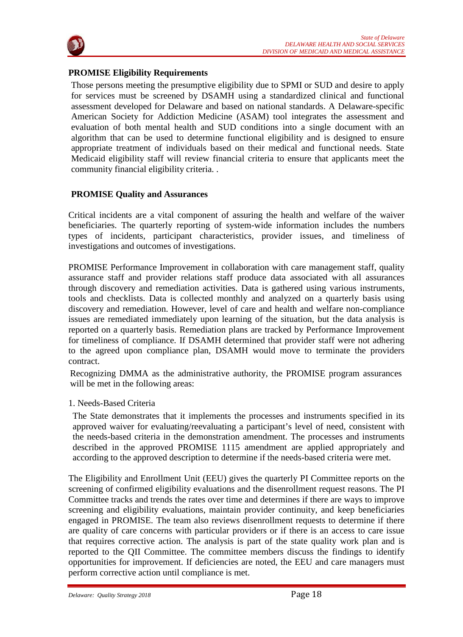

# **PROMISE Eligibility Requirements**

Those persons meeting the presumptive eligibility due to SPMI or SUD and desire to apply for services must be screened by DSAMH using a standardized clinical and functional assessment developed for Delaware and based on national standards. A Delaware-specific American Society for Addiction Medicine (ASAM) tool integrates the assessment and evaluation of both mental health and SUD conditions into a single document with an algorithm that can be used to determine functional eligibility and is designed to ensure appropriate treatment of individuals based on their medical and functional needs. State Medicaid eligibility staff will review financial criteria to ensure that applicants meet the community financial eligibility criteria. .

# **PROMISE Quality and Assurances**

Critical incidents are a vital component of assuring the health and welfare of the waiver beneficiaries. The quarterly reporting of system-wide information includes the numbers types of incidents, participant characteristics, provider issues, and timeliness of investigations and outcomes of investigations.

PROMISE Performance Improvement in collaboration with care management staff, quality assurance staff and provider relations staff produce data associated with all assurances through discovery and remediation activities. Data is gathered using various instruments, tools and checklists. Data is collected monthly and analyzed on a quarterly basis using discovery and remediation. However, level of care and health and welfare non-compliance issues are remediated immediately upon learning of the situation, but the data analysis is reported on a quarterly basis. Remediation plans are tracked by Performance Improvement for timeliness of compliance. If DSAMH determined that provider staff were not adhering to the agreed upon compliance plan, DSAMH would move to terminate the providers contract.

Recognizing DMMA as the administrative authority, the PROMISE program assurances will be met in the following areas:

# 1. Needs-Based Criteria

The State demonstrates that it implements the processes and instruments specified in its approved waiver for evaluating/reevaluating a participant's level of need, consistent with the needs-based criteria in the demonstration amendment. The processes and instruments described in the approved PROMISE 1115 amendment are applied appropriately and according to the approved description to determine if the needs-based criteria were met.

The Eligibility and Enrollment Unit (EEU) gives the quarterly PI Committee reports on the screening of confirmed eligibility evaluations and the disenrollment request reasons. The PI Committee tracks and trends the rates over time and determines if there are ways to improve screening and eligibility evaluations, maintain provider continuity, and keep beneficiaries engaged in PROMISE. The team also reviews disenrollment requests to determine if there are quality of care concerns with particular providers or if there is an access to care issue that requires corrective action. The analysis is part of the state quality work plan and is reported to the QII Committee. The committee members discuss the findings to identify opportunities for improvement. If deficiencies are noted, the EEU and care managers must perform corrective action until compliance is met.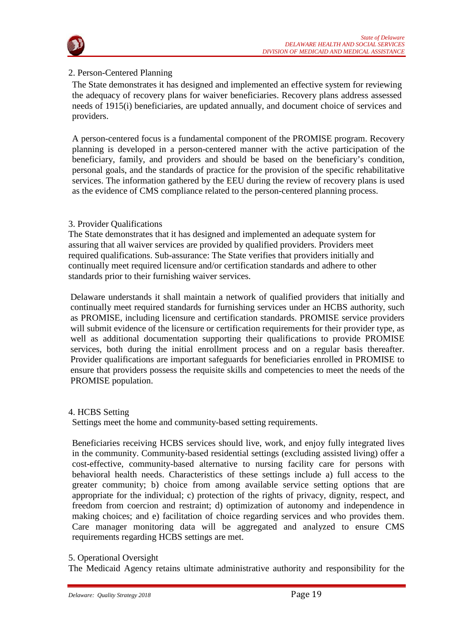

# 2. Person-Centered Planning

The State demonstrates it has designed and implemented an effective system for reviewing the adequacy of recovery plans for waiver beneficiaries. Recovery plans address assessed needs of 1915(i) beneficiaries, are updated annually, and document choice of services and providers.

A person-centered focus is a fundamental component of the PROMISE program. Recovery planning is developed in a person-centered manner with the active participation of the beneficiary, family, and providers and should be based on the beneficiary's condition, personal goals, and the standards of practice for the provision of the specific rehabilitative services. The information gathered by the EEU during the review of recovery plans is used as the evidence of CMS compliance related to the person-centered planning process.

# 3. Provider Qualifications

The State demonstrates that it has designed and implemented an adequate system for assuring that all waiver services are provided by qualified providers. Providers meet required qualifications. Sub-assurance: The State verifies that providers initially and continually meet required licensure and/or certification standards and adhere to other standards prior to their furnishing waiver services.

Delaware understands it shall maintain a network of qualified providers that initially and continually meet required standards for furnishing services under an HCBS authority, such as PROMISE, including licensure and certification standards. PROMISE service providers will submit evidence of the licensure or certification requirements for their provider type, as well as additional documentation supporting their qualifications to provide PROMISE services, both during the initial enrollment process and on a regular basis thereafter. Provider qualifications are important safeguards for beneficiaries enrolled in PROMISE to ensure that providers possess the requisite skills and competencies to meet the needs of the PROMISE population.

# 4. HCBS Setting

Settings meet the home and community-based setting requirements.

Beneficiaries receiving HCBS services should live, work, and enjoy fully integrated lives in the community. Community-based residential settings (excluding assisted living) offer a cost-effective, community-based alternative to nursing facility care for persons with behavioral health needs. Characteristics of these settings include a) full access to the greater community; b) choice from among available service setting options that are appropriate for the individual; c) protection of the rights of privacy, dignity, respect, and freedom from coercion and restraint; d) optimization of autonomy and independence in making choices; and e) facilitation of choice regarding services and who provides them. Care manager monitoring data will be aggregated and analyzed to ensure CMS requirements regarding HCBS settings are met.

# 5. Operational Oversight

The Medicaid Agency retains ultimate administrative authority and responsibility for the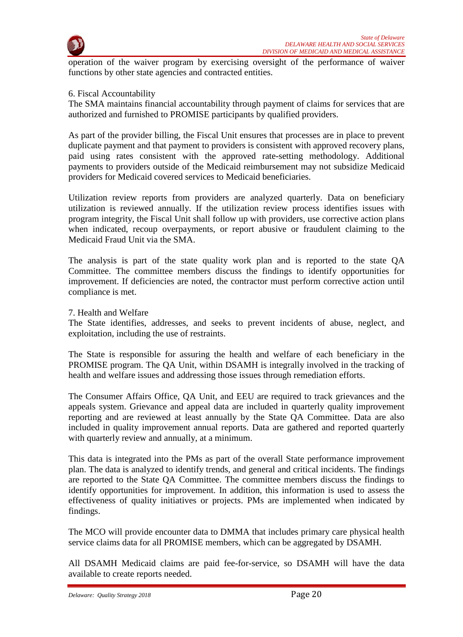

operation of the waiver program by exercising oversight of the performance of waiver functions by other state agencies and contracted entities.

#### 6. Fiscal Accountability

The SMA maintains financial accountability through payment of claims for services that are authorized and furnished to PROMISE participants by qualified providers.

As part of the provider billing, the Fiscal Unit ensures that processes are in place to prevent duplicate payment and that payment to providers is consistent with approved recovery plans, paid using rates consistent with the approved rate-setting methodology. Additional payments to providers outside of the Medicaid reimbursement may not subsidize Medicaid providers for Medicaid covered services to Medicaid beneficiaries.

Utilization review reports from providers are analyzed quarterly. Data on beneficiary utilization is reviewed annually. If the utilization review process identifies issues with program integrity, the Fiscal Unit shall follow up with providers, use corrective action plans when indicated, recoup overpayments, or report abusive or fraudulent claiming to the Medicaid Fraud Unit via the SMA.

The analysis is part of the state quality work plan and is reported to the state QA Committee. The committee members discuss the findings to identify opportunities for improvement. If deficiencies are noted, the contractor must perform corrective action until compliance is met.

#### 7. Health and Welfare

The State identifies, addresses, and seeks to prevent incidents of abuse, neglect, and exploitation, including the use of restraints.

The State is responsible for assuring the health and welfare of each beneficiary in the PROMISE program. The QA Unit, within DSAMH is integrally involved in the tracking of health and welfare issues and addressing those issues through remediation efforts.

The Consumer Affairs Office, QA Unit, and EEU are required to track grievances and the appeals system. Grievance and appeal data are included in quarterly quality improvement reporting and are reviewed at least annually by the State QA Committee. Data are also included in quality improvement annual reports. Data are gathered and reported quarterly with quarterly review and annually, at a minimum.

This data is integrated into the PMs as part of the overall State performance improvement plan. The data is analyzed to identify trends, and general and critical incidents. The findings are reported to the State QA Committee. The committee members discuss the findings to identify opportunities for improvement. In addition, this information is used to assess the effectiveness of quality initiatives or projects. PMs are implemented when indicated by findings.

The MCO will provide encounter data to DMMA that includes primary care physical health service claims data for all PROMISE members, which can be aggregated by DSAMH.

All DSAMH Medicaid claims are paid fee-for-service, so DSAMH will have the data available to create reports needed.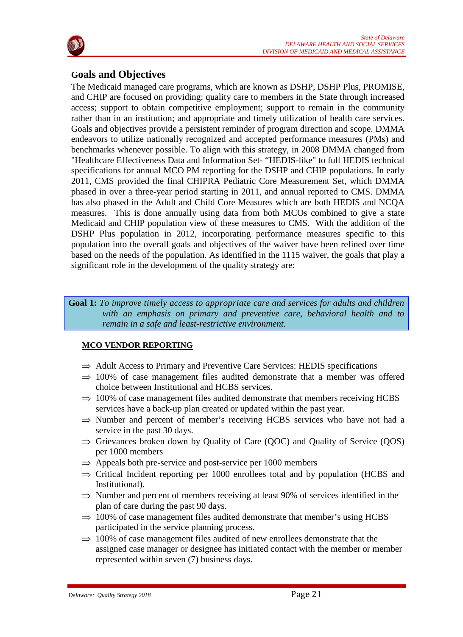

# **Goals and Objectives**

The Medicaid managed care programs, which are known as DSHP, DSHP Plus, PROMISE, and CHIP are focused on providing: quality care to members in the State through increased access; support to obtain competitive employment; support to remain in the community rather than in an institution; and appropriate and timely utilization of health care services. Goals and objectives provide a persistent reminder of program direction and scope. DMMA endeavors to utilize nationally recognized and accepted performance measures (PMs) and benchmarks whenever possible. To align with this strategy, in 2008 DMMA changed from "Healthcare Effectiveness Data and Information Set- "HEDIS-like" to full HEDIS technical specifications for annual MCO PM reporting for the DSHP and CHIP populations. In early 2011, CMS provided the final CHIPRA Pediatric Core Measurement Set, which DMMA phased in over a three-year period starting in 2011, and annual reported to CMS. DMMA has also phased in the Adult and Child Core Measures which are both HEDIS and NCQA measures. This is done annually using data from both MCOs combined to give a state Medicaid and CHIP population view of these measures to CMS. With the addition of the DSHP Plus population in 2012, incorporating performance measures specific to this population into the overall goals and objectives of the waiver have been refined over time based on the needs of the population. As identified in the 1115 waiver, the goals that play a significant role in the development of the quality strategy are:

#### **Goal 1:** *To improve timely access to appropriate care and services for adults and children with an emphasis on primary and preventive care, behavioral health and to remain in a safe and least-restrictive environment.*

# **MCO VENDOR REPORTING**

- $\Rightarrow$  Adult Access to Primary and Preventive Care Services: HEDIS specifications
- $\Rightarrow$  100% of case management files audited demonstrate that a member was offered choice between Institutional and HCBS services.
- $\Rightarrow$  100% of case management files audited demonstrate that members receiving HCBS services have a back-up plan created or updated within the past year.
- $\Rightarrow$  Number and percent of member's receiving HCBS services who have not had a service in the past 30 days.
- $\Rightarrow$  Grievances broken down by Quality of Care (QOC) and Quality of Service (QOS) per 1000 members
- $\Rightarrow$  Appeals both pre-service and post-service per 1000 members
- ⇒ Critical Incident reporting per 1000 enrollees total and by population (HCBS and Institutional).
- $\Rightarrow$  Number and percent of members receiving at least 90% of services identified in the plan of care during the past 90 days.
- $\Rightarrow$  100% of case management files audited demonstrate that member's using HCBS participated in the service planning process.
- $\Rightarrow$  100% of case management files audited of new enrollees demonstrate that the assigned case manager or designee has initiated contact with the member or member represented within seven (7) business days.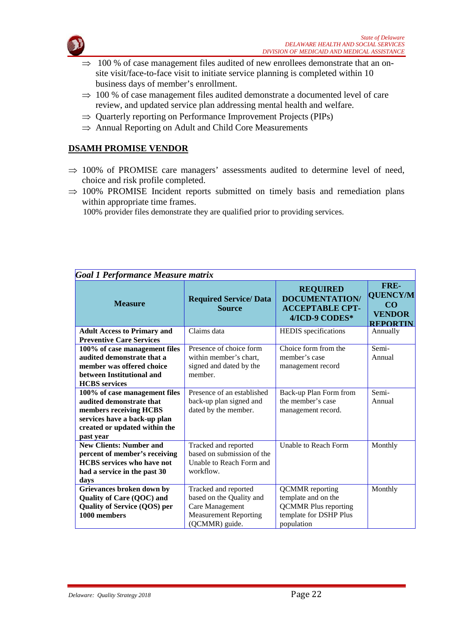

- $\Rightarrow$  100 % of case management files audited of new enrollees demonstrate that an onsite visit/face-to-face visit to initiate service planning is completed within 10 business days of member's enrollment.
- $\Rightarrow$  100 % of case management files audited demonstrate a documented level of care review, and updated service plan addressing mental health and welfare.
- $\Rightarrow$  Quarterly reporting on Performance Improvement Projects (PIPs)
- ⇒ Annual Reporting on Adult and Child Core Measurements

# **DSAMH PROMISE VENDOR**

- $\Rightarrow$  100% of PROMISE care managers' assessments audited to determine level of need, choice and risk profile completed.
- $\Rightarrow$  100% PROMISE Incident reports submitted on timely basis and remediation plans within appropriate time frames.

100% provider files demonstrate they are qualified prior to providing services.

| <b>Goal 1 Performance Measure matrix</b> |                                                |                                                                                      |                                                                                        |
|------------------------------------------|------------------------------------------------|--------------------------------------------------------------------------------------|----------------------------------------------------------------------------------------|
| <b>Measure</b>                           | <b>Required Service/ Data</b><br><b>Source</b> | <b>REQUIRED</b><br><b>DOCUMENTATION/</b><br><b>ACCEPTABLE CPT-</b><br>4/ICD-9 CODES* | FRE-<br><b>QUENCY/M</b><br>$\overline{\mathbf{C}}$<br><b>VENDOR</b><br><b>REPORTIN</b> |
| <b>Adult Access to Primary and</b>       | Claims data                                    | <b>HEDIS</b> specifications                                                          | Annually                                                                               |
| <b>Preventive Care Services</b>          |                                                |                                                                                      |                                                                                        |
| 100% of case management files            | Presence of choice form                        | Choice form from the                                                                 | Semi-                                                                                  |
| audited demonstrate that a               | within member's chart.                         | member's case                                                                        | Annual                                                                                 |
| member was offered choice                | signed and dated by the                        | management record                                                                    |                                                                                        |
| between Institutional and                | member.                                        |                                                                                      |                                                                                        |
| <b>HCBS</b> services                     |                                                |                                                                                      |                                                                                        |
| 100% of case management files            | Presence of an established                     | Back-up Plan Form from                                                               | Semi-                                                                                  |
| audited demonstrate that                 | back-up plan signed and                        | the member's case                                                                    | Annual                                                                                 |
| members receiving HCBS                   | dated by the member.                           | management record.                                                                   |                                                                                        |
| services have a back-up plan             |                                                |                                                                                      |                                                                                        |
| created or updated within the            |                                                |                                                                                      |                                                                                        |
| past year                                |                                                |                                                                                      |                                                                                        |
| <b>New Clients: Number and</b>           | Tracked and reported                           | Unable to Reach Form                                                                 | Monthly                                                                                |
| percent of member's receiving            | based on submission of the                     |                                                                                      |                                                                                        |
| <b>HCBS</b> services who have not        | Unable to Reach Form and                       |                                                                                      |                                                                                        |
| had a service in the past 30             | workflow.                                      |                                                                                      |                                                                                        |
| days                                     |                                                |                                                                                      |                                                                                        |
| Grievances broken down by                | Tracked and reported                           | <b>QCMMR</b> reporting                                                               | Monthly                                                                                |
| Quality of Care (QOC) and                | based on the Quality and                       | template and on the                                                                  |                                                                                        |
| Quality of Service (QOS) per             | Care Management                                | <b>QCMMR Plus reporting</b>                                                          |                                                                                        |
| 1000 members                             | <b>Measurement Reporting</b>                   | template for DSHP Plus                                                               |                                                                                        |
|                                          | (QCMMR) guide.                                 | population                                                                           |                                                                                        |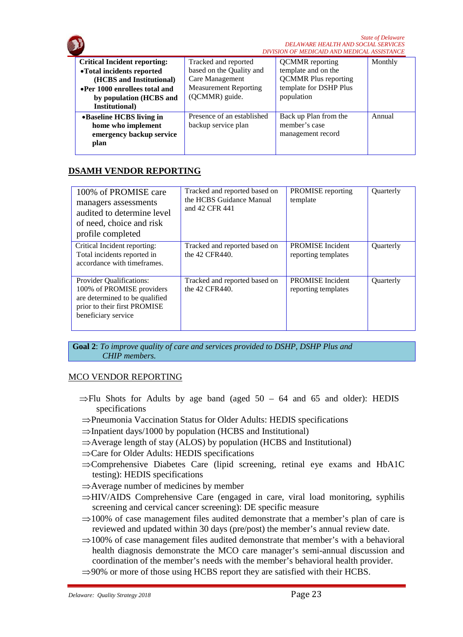

# **DSAMH VENDOR REPORTING**

| 100% of PROMISE care<br>managers assessments<br>audited to determine level<br>of need, choice and risk<br>profile completed                    | Tracked and reported based on<br>the HCBS Guidance Manual<br>and 42 CFR 441 | <b>PROMISE</b> reporting<br>template           | Quarterly |
|------------------------------------------------------------------------------------------------------------------------------------------------|-----------------------------------------------------------------------------|------------------------------------------------|-----------|
| Critical Incident reporting:<br>Total incidents reported in<br>accordance with timeframes.                                                     | Tracked and reported based on<br>the 42 CFR440.                             | <b>PROMISE</b> Incident<br>reporting templates | Quarterly |
| Provider Qualifications:<br>100% of PROMISE providers<br>are determined to be qualified<br>prior to their first PROMISE<br>beneficiary service | Tracked and reported based on<br>the 42 CFR440.                             | <b>PROMISE</b> Incident<br>reporting templates | Quarterly |

**Goal 2**: *To improve quality of care and services provided to DSHP, DSHP Plus and CHIP members.*

#### MCO VENDOR REPORTING

- $\Rightarrow$ Flu Shots for Adults by age band (aged 50 64 and 65 and older): HEDIS specifications
- ⇒Pneumonia Vaccination Status for Older Adults: HEDIS specifications
- ⇒Inpatient days/1000 by population (HCBS and Institutional)
- ⇒Average length of stay (ALOS) by population (HCBS and Institutional)
- ⇒Care for Older Adults: HEDIS specifications
- ⇒Comprehensive Diabetes Care (lipid screening, retinal eye exams and HbA1C testing): HEDIS specifications
- ⇒Average number of medicines by member
- ⇒HIV/AIDS Comprehensive Care (engaged in care, viral load monitoring, syphilis screening and cervical cancer screening): DE specific measure
- $\Rightarrow$ 100% of case management files audited demonstrate that a member's plan of care is reviewed and updated within 30 days (pre/post) the member's annual review date.
- $\Rightarrow$ 100% of case management files audited demonstrate that member's with a behavioral health diagnosis demonstrate the MCO care manager's semi-annual discussion and coordination of the member's needs with the member's behavioral health provider.
- $\Rightarrow$ 90% or more of those using HCBS report they are satisfied with their HCBS.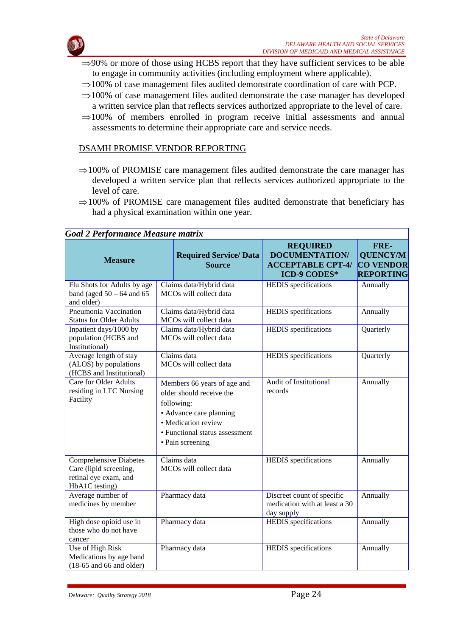

- $\Rightarrow$ 90% or more of those using HCBS report that they have sufficient services to be able to engage in community activities (including employment where applicable).
- ⇒100% of case management files audited demonstrate coordination of care with PCP.
- $\Rightarrow$ 100% of case management files audited demonstrate the case manager has developed a written service plan that reflects services authorized appropriate to the level of care.
- $\Rightarrow$ 100% of members enrolled in program receive initial assessments and annual assessments to determine their appropriate care and service needs.

#### DSAMH PROMISE VENDOR REPORTING

- $\Rightarrow$ 100% of PROMISE care management files audited demonstrate the care manager has developed a written service plan that reflects services authorized appropriate to the level of care.
- ⇒100% of PROMISE care management files audited demonstrate that beneficiary has had a physical examination within one year.

| Goal 2 Performance Measure matrix                                                                  |                                                                                                                                                                               |                                                   |                                                                                             |                                                                 |  |
|----------------------------------------------------------------------------------------------------|-------------------------------------------------------------------------------------------------------------------------------------------------------------------------------|---------------------------------------------------|---------------------------------------------------------------------------------------------|-----------------------------------------------------------------|--|
| <b>Measure</b>                                                                                     |                                                                                                                                                                               | <b>Required Service/ Data</b><br><b>Source</b>    | <b>REQUIRED</b><br><b>DOCUMENTATION/</b><br><b>ACCEPTABLE CPT-4/</b><br><b>ICD-9 CODES*</b> | FRE-<br><b>QUENCY/M</b><br><b>CO VENDOR</b><br><b>REPORTING</b> |  |
| Flu Shots for Adults by age<br>band (aged $50 - 64$ and 65<br>and older)                           | Claims data/Hybrid data<br>MCOs will collect data                                                                                                                             |                                                   | <b>HEDIS</b> specifications                                                                 | Annually                                                        |  |
| Pneumonia Vaccination<br><b>Status for Older Adults</b>                                            |                                                                                                                                                                               | Claims data/Hybrid data<br>MCOs will collect data | <b>HEDIS</b> specifications                                                                 | Annually                                                        |  |
| Inpatient days/1000 by<br>population (HCBS and<br>Institutional)                                   |                                                                                                                                                                               | Claims data/Hybrid data<br>MCOs will collect data | HEDIS specifications                                                                        | Quarterly                                                       |  |
| Average length of stay<br>(ALOS) by populations<br>(HCBS and Institutional)                        | Claims data<br>MCOs will collect data                                                                                                                                         |                                                   | <b>HEDIS</b> specifications                                                                 | Quarterly                                                       |  |
| <b>Care for Older Adults</b><br>residing in LTC Nursing<br>Facility                                | Members 66 years of age and<br>older should receive the<br>following:<br>• Advance care planning<br>• Medication review<br>• Functional status assessment<br>• Pain screening |                                                   | <b>Audit of Institutional</b><br>records                                                    | Annually                                                        |  |
| <b>Comprehensive Diabetes</b><br>Care (lipid screening,<br>retinal eye exam, and<br>HbA1C testing) | Claims data<br>MCOs will collect data                                                                                                                                         |                                                   | HEDIS specifications                                                                        | Annually                                                        |  |
| Average number of<br>medicines by member                                                           | Pharmacy data                                                                                                                                                                 |                                                   | Discreet count of specific<br>medication with at least a 30<br>day supply                   | Annually                                                        |  |
| High dose opioid use in<br>those who do not have<br>cancer                                         |                                                                                                                                                                               | Pharmacy data                                     | <b>HEDIS</b> specifications                                                                 | Annually                                                        |  |
| Use of High Risk<br>Medications by age band<br>$(18-65$ and 66 and older)                          |                                                                                                                                                                               | Pharmacy data                                     | <b>HEDIS</b> specifications                                                                 | Annually                                                        |  |

# $G_{\text{eff}}$  2 P<sub>erformance</sub> M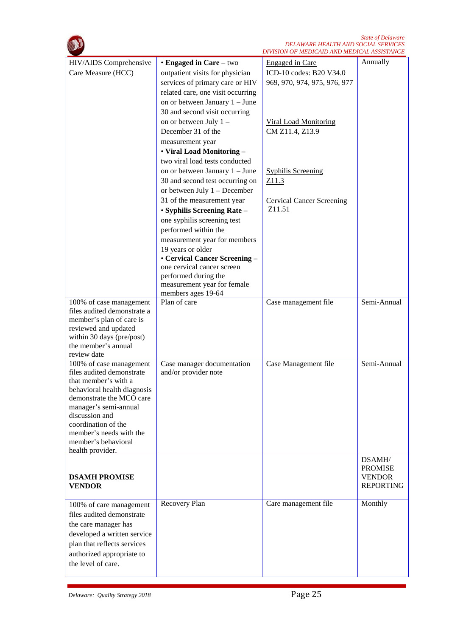*State of Delaware DELAWARE HEALTH AND SOCIAL SERVICES*

|                                       |                                                     | DIVISION OF MEDICAID AND MEDICAL ASSISTANCE |                                   |
|---------------------------------------|-----------------------------------------------------|---------------------------------------------|-----------------------------------|
| HIV/AIDS Comprehensive                | • Engaged in Care – two                             | <b>Engaged</b> in Care                      | Annually                          |
| Care Measure (HCC)                    | outpatient visits for physician                     | ICD-10 codes: B20 V34.0                     |                                   |
|                                       | services of primary care or HIV                     | 969, 970, 974, 975, 976, 977                |                                   |
|                                       | related care, one visit occurring                   |                                             |                                   |
|                                       | on or between January 1 - June                      |                                             |                                   |
|                                       | 30 and second visit occurring                       |                                             |                                   |
|                                       | on or between July 1 -                              | <b>Viral Load Monitoring</b>                |                                   |
|                                       | December 31 of the                                  | CM Z11.4, Z13.9                             |                                   |
|                                       | measurement year                                    |                                             |                                   |
|                                       | • Viral Load Monitoring -                           |                                             |                                   |
|                                       | two viral load tests conducted                      |                                             |                                   |
|                                       | on or between January 1 – June                      | <b>Syphilis Screening</b>                   |                                   |
|                                       | 30 and second test occurring on                     | Z11.3                                       |                                   |
|                                       | or between July 1 - December                        |                                             |                                   |
|                                       | 31 of the measurement year                          | <b>Cervical Cancer Screening</b>            |                                   |
|                                       | • Syphilis Screening Rate -                         | Z <sub>11.51</sub>                          |                                   |
|                                       | one syphilis screening test                         |                                             |                                   |
|                                       | performed within the                                |                                             |                                   |
|                                       | measurement year for members                        |                                             |                                   |
|                                       | 19 years or older                                   |                                             |                                   |
|                                       | • Cervical Cancer Screening -                       |                                             |                                   |
|                                       | one cervical cancer screen                          |                                             |                                   |
|                                       | performed during the<br>measurement year for female |                                             |                                   |
|                                       | members ages 19-64                                  |                                             |                                   |
| 100% of case management               | Plan of care                                        | Case management file                        | Semi-Annual                       |
| files audited demonstrate a           |                                                     |                                             |                                   |
| member's plan of care is              |                                                     |                                             |                                   |
| reviewed and updated                  |                                                     |                                             |                                   |
| within 30 days (pre/post)             |                                                     |                                             |                                   |
| the member's annual<br>review date    |                                                     |                                             |                                   |
| 100% of case management               | Case manager documentation                          | Case Management file                        | Semi-Annual                       |
| files audited demonstrate             | and/or provider note                                |                                             |                                   |
| that member's with a                  |                                                     |                                             |                                   |
| behavioral health diagnosis           |                                                     |                                             |                                   |
| demonstrate the MCO care              |                                                     |                                             |                                   |
| manager's semi-annual                 |                                                     |                                             |                                   |
| discussion and<br>coordination of the |                                                     |                                             |                                   |
| member's needs with the               |                                                     |                                             |                                   |
| member's behavioral                   |                                                     |                                             |                                   |
| health provider.                      |                                                     |                                             |                                   |
|                                       |                                                     |                                             | DSAMH/                            |
|                                       |                                                     |                                             | <b>PROMISE</b>                    |
| <b>DSAMH PROMISE</b><br><b>VENDOR</b> |                                                     |                                             | <b>VENDOR</b><br><b>REPORTING</b> |
|                                       |                                                     |                                             |                                   |
| 100% of care management               | Recovery Plan                                       | Care management file                        | Monthly                           |
| files audited demonstrate             |                                                     |                                             |                                   |
| the care manager has                  |                                                     |                                             |                                   |
| developed a written service           |                                                     |                                             |                                   |
| plan that reflects services           |                                                     |                                             |                                   |
| authorized appropriate to             |                                                     |                                             |                                   |
| the level of care.                    |                                                     |                                             |                                   |
|                                       |                                                     |                                             |                                   |

 $\bigcap$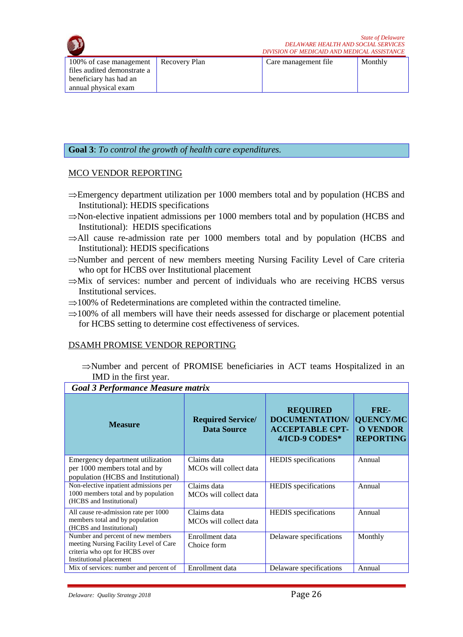

| 100% of case management   Recovery Plan | Care management file | Monthly |
|-----------------------------------------|----------------------|---------|
| files audited demonstrate a             |                      |         |
| beneficiary has had an                  |                      |         |
| annual physical exam                    |                      |         |

# **Goal 3**: *To control the growth of health care expenditures.*

#### MCO VENDOR REPORTING

- ⇒Emergency department utilization per 1000 members total and by population (HCBS and Institutional): HEDIS specifications
- ⇒Non-elective inpatient admissions per 1000 members total and by population (HCBS and Institutional): HEDIS specifications
- $\Rightarrow$ All cause re-admission rate per 1000 members total and by population (HCBS and Institutional): HEDIS specifications
- ⇒Number and percent of new members meeting Nursing Facility Level of Care criteria who opt for HCBS over Institutional placement
- $\Rightarrow$ Mix of services: number and percent of individuals who are receiving HCBS versus Institutional services.
- $\Rightarrow$ 100% of Redeterminations are completed within the contracted timeline.
- $\Rightarrow$ 100% of all members will have their needs assessed for discharge or placement potential for HCBS setting to determine cost effectiveness of services.

#### DSAMH PROMISE VENDOR REPORTING

⇒Number and percent of PROMISE beneficiaries in ACT teams Hospitalized in an IMD in the first year.

#### *Goal 3 Performance Measure matrix*

| $\frac{1}{2}$ . The contract $\frac{1}{2}$ is the contract of $\frac{1}{2}$ |                                                |                                                                                      |                                                                 |  |
|-----------------------------------------------------------------------------|------------------------------------------------|--------------------------------------------------------------------------------------|-----------------------------------------------------------------|--|
| <b>Measure</b>                                                              | <b>Required Service/</b><br><b>Data Source</b> | <b>REQUIRED</b><br><b>DOCUMENTATION/</b><br><b>ACCEPTABLE CPT-</b><br>4/ICD-9 CODES* | FRE-<br><b>QUENCY/MC</b><br><b>O VENDOR</b><br><b>REPORTING</b> |  |
| Emergency department utilization                                            | Claims data                                    | <b>HEDIS</b> specifications                                                          | Annual                                                          |  |
| per 1000 members total and by                                               | MCO <sub>s</sub> will collect data             |                                                                                      |                                                                 |  |
| population (HCBS and Institutional)                                         |                                                |                                                                                      |                                                                 |  |
| Non-elective inpatient admissions per                                       | Claims data                                    | <b>HEDIS</b> specifications                                                          | Annual                                                          |  |
| 1000 members total and by population<br>(HCBS and Institutional)            | MCO <sub>s</sub> will collect data             |                                                                                      |                                                                 |  |
| All cause re-admission rate per 1000                                        | Claims data                                    | <b>HEDIS</b> specifications                                                          | Annual                                                          |  |
| members total and by population<br>(HCBS and Institutional)                 | MCO <sub>s</sub> will collect data             |                                                                                      |                                                                 |  |
| Number and percent of new members                                           | Enrollment data                                | Delaware specifications                                                              | Monthly                                                         |  |
| meeting Nursing Facility Level of Care                                      | Choice form                                    |                                                                                      |                                                                 |  |
| criteria who opt for HCBS over                                              |                                                |                                                                                      |                                                                 |  |
| Institutional placement                                                     |                                                |                                                                                      |                                                                 |  |
| Mix of services: number and percent of                                      | Enrollment data                                | Delaware specifications                                                              | Annual                                                          |  |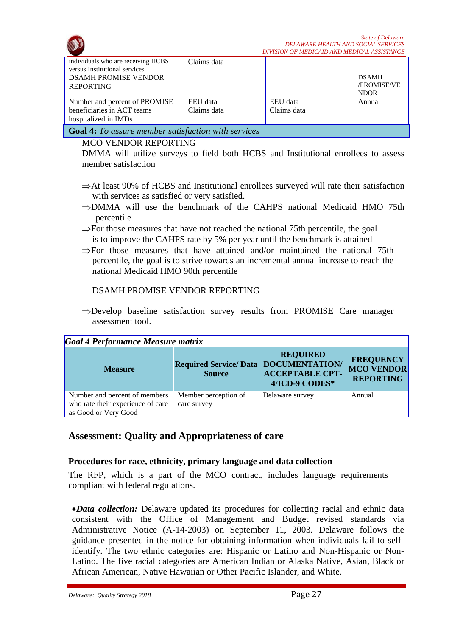

| individuals who are receiving HCBS<br>versus Institutional services                 | Claims data             |                         |                                            |
|-------------------------------------------------------------------------------------|-------------------------|-------------------------|--------------------------------------------|
| <b>DSAMH PROMISE VENDOR</b><br><b>REPORTING</b>                                     |                         |                         | <b>DSAMH</b><br>/PROMISE/VE<br><b>NDOR</b> |
| Number and percent of PROMISE<br>beneficiaries in ACT teams<br>hospitalized in IMDs | EEU data<br>Claims data | EEU data<br>Claims data | Annual                                     |
| <b>Goal 4:</b> To assure member satisfaction with services                          |                         |                         |                                            |

#### MCO VENDOR REPORTING

DMMA will utilize surveys to field both HCBS and Institutional enrollees to assess member satisfaction

- ⇒At least 90% of HCBS and Institutional enrollees surveyed will rate their satisfaction with services as satisfied or very satisfied.
- ⇒DMMA will use the benchmark of the CAHPS national Medicaid HMO 75th percentile
- ⇒For those measures that have not reached the national 75th percentile, the goal is to improve the CAHPS rate by 5% per year until the benchmark is attained
- $\Rightarrow$  For those measures that have attained and/or maintained the national 75th percentile, the goal is to strive towards an incremental annual increase to reach the national Medicaid HMO 90th percentile

#### DSAMH PROMISE VENDOR REPORTING

⇒Develop baseline satisfaction survey results from PROMISE Care manager assessment tool.

| Goal 4 Performance Measure matrix                                                          |                                                       |                                                             |                                                           |  |
|--------------------------------------------------------------------------------------------|-------------------------------------------------------|-------------------------------------------------------------|-----------------------------------------------------------|--|
| <b>Measure</b>                                                                             | Required Service/Data DOCUMENTATION/<br><b>Source</b> | <b>REQUIRED</b><br><b>ACCEPTABLE CPT-</b><br>4/ICD-9 CODES* | <b>FREQUENCY</b><br><b>MCO VENDOR</b><br><b>REPORTING</b> |  |
| Number and percent of members<br>who rate their experience of care<br>as Good or Very Good | Member perception of<br>care survey                   | Delaware survey                                             | Annual                                                    |  |

# **Assessment: Quality and Appropriateness of care**

#### **Procedures for race, ethnicity, primary language and data collection**

The RFP, which is a part of the MCO contract, includes language requirements compliant with federal regulations.

•*Data collection:* Delaware updated its procedures for collecting racial and ethnic data consistent with the Office of Management and Budget revised standards via Administrative Notice (A-14-2003) on September 11, 2003. Delaware follows the guidance presented in the notice for obtaining information when individuals fail to selfidentify. The two ethnic categories are: Hispanic or Latino and Non-Hispanic or Non-Latino. The five racial categories are American Indian or Alaska Native, Asian, Black or African American, Native Hawaiian or Other Pacific Islander, and White.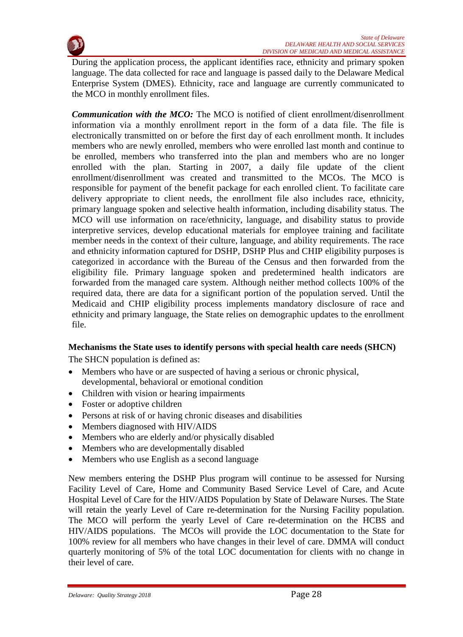

During the application process, the applicant identifies race, ethnicity and primary spoken language. The data collected for race and language is passed daily to the Delaware Medical Enterprise System (DMES). Ethnicity, race and language are currently communicated to the MCO in monthly enrollment files.

*Communication with the MCO:* The MCO is notified of client enrollment/disenrollment information via a monthly enrollment report in the form of a data file. The file is electronically transmitted on or before the first day of each enrollment month. It includes members who are newly enrolled, members who were enrolled last month and continue to be enrolled, members who transferred into the plan and members who are no longer enrolled with the plan. Starting in 2007, a daily file update of the client enrollment/disenrollment was created and transmitted to the MCOs. The MCO is responsible for payment of the benefit package for each enrolled client. To facilitate care delivery appropriate to client needs, the enrollment file also includes race, ethnicity, primary language spoken and selective health information, including disability status. The MCO will use information on race/ethnicity, language, and disability status to provide interpretive services, develop educational materials for employee training and facilitate member needs in the context of their culture, language, and ability requirements. The race and ethnicity information captured for DSHP, DSHP Plus and CHIP eligibility purposes is categorized in accordance with the Bureau of the Census and then forwarded from the eligibility file. Primary language spoken and predetermined health indicators are forwarded from the managed care system. Although neither method collects 100% of the required data, there are data for a significant portion of the population served. Until the Medicaid and CHIP eligibility process implements mandatory disclosure of race and ethnicity and primary language, the State relies on demographic updates to the enrollment file.

# **Mechanisms the State uses to identify persons with special health care needs (SHCN)**

The SHCN population is defined as:

- Members who have or are suspected of having a serious or chronic physical, developmental, behavioral or emotional condition
- Children with vision or hearing impairments
- Foster or adoptive children
- Persons at risk of or having chronic diseases and disabilities
- Members diagnosed with HIV/AIDS
- Members who are elderly and/or physically disabled
- Members who are developmentally disabled
- Members who use English as a second language

New members entering the DSHP Plus program will continue to be assessed for Nursing Facility Level of Care, Home and Community Based Service Level of Care, and Acute Hospital Level of Care for the HIV/AIDS Population by State of Delaware Nurses. The State will retain the yearly Level of Care re-determination for the Nursing Facility population. The MCO will perform the yearly Level of Care re-determination on the HCBS and HIV/AIDS populations. The MCOs will provide the LOC documentation to the State for 100% review for all members who have changes in their level of care. DMMA will conduct quarterly monitoring of 5% of the total LOC documentation for clients with no change in their level of care.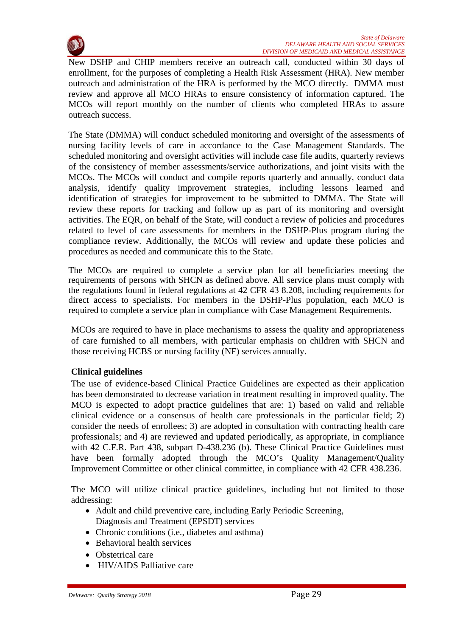

New DSHP and CHIP members receive an outreach call, conducted within 30 days of enrollment, for the purposes of completing a Health Risk Assessment (HRA). New member outreach and administration of the HRA is performed by the MCO directly. DMMA must review and approve all MCO HRAs to ensure consistency of information captured. The MCOs will report monthly on the number of clients who completed HRAs to assure outreach success.

The State (DMMA) will conduct scheduled monitoring and oversight of the assessments of nursing facility levels of care in accordance to the Case Management Standards. The scheduled monitoring and oversight activities will include case file audits, quarterly reviews of the consistency of member assessments/service authorizations, and joint visits with the MCOs. The MCOs will conduct and compile reports quarterly and annually, conduct data analysis, identify quality improvement strategies, including lessons learned and identification of strategies for improvement to be submitted to DMMA. The State will review these reports for tracking and follow up as part of its monitoring and oversight activities. The EQR, on behalf of the State, will conduct a review of policies and procedures related to level of care assessments for members in the DSHP-Plus program during the compliance review. Additionally, the MCOs will review and update these policies and procedures as needed and communicate this to the State.

The MCOs are required to complete a service plan for all beneficiaries meeting the requirements of persons with SHCN as defined above. All service plans must comply with the regulations found in federal regulations at 42 CFR 43 8.208, including requirements for direct access to specialists. For members in the DSHP-Plus population, each MCO is required to complete a service plan in compliance with Case Management Requirements.

MCOs are required to have in place mechanisms to assess the quality and appropriateness of care furnished to all members, with particular emphasis on children with SHCN and those receiving HCBS or nursing facility (NF) services annually.

# **Clinical guidelines**

The use of evidence-based Clinical Practice Guidelines are expected as their application has been demonstrated to decrease variation in treatment resulting in improved quality. The MCO is expected to adopt practice guidelines that are: 1) based on valid and reliable clinical evidence or a consensus of health care professionals in the particular field; 2) consider the needs of enrollees; 3) are adopted in consultation with contracting health care professionals; and 4) are reviewed and updated periodically, as appropriate, in compliance with 42 C.F.R. Part 438, subpart D-438.236 (b). These Clinical Practice Guidelines must have been formally adopted through the MCO's Quality Management/Quality Improvement Committee or other clinical committee, in compliance with 42 CFR 438.236.

The MCO will utilize clinical practice guidelines, including but not limited to those addressing:

- Adult and child preventive care, including Early Periodic Screening, Diagnosis and Treatment (EPSDT) services
- Chronic conditions (*i.e.*, diabetes and asthma)
- Behavioral health services
- Obstetrical care
- HIV/AIDS Palliative care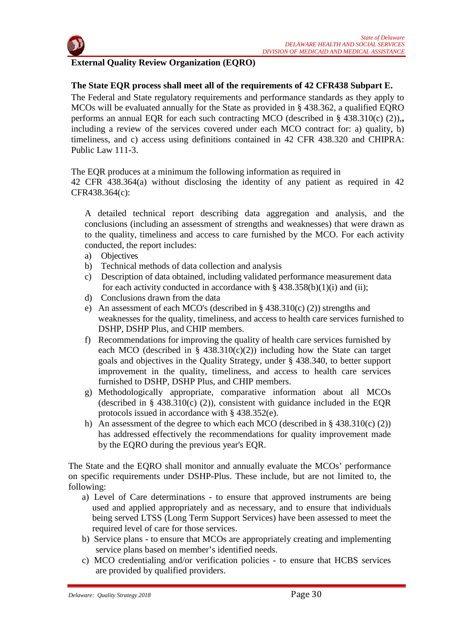

# **External Quality Review Organization (EQRO)**

# **The State EQR process shall meet all of the requirements of 42 CFR438 Subpart E.**

The Federal and State regulatory requirements and performance standards as they apply to MCOs will be evaluated annually for the State as provided in § 438.362, a qualified EQRO performs an annual EQR for each such contracting MCO (described in § 438.310(c) (2)),**,**  including a review of the services covered under each MCO contract for: a) quality, b) timeliness, and c) access using definitions contained in 42 CFR 438.320 and CHIPRA: Public Law 111-3.

The EQR produces at a minimum the following information as required in

42 CFR 438.364(a) without disclosing the identity of any patient as required in 42 CFR438.364(c):

A detailed technical report describing data aggregation and analysis, and the conclusions (including an assessment of strengths and weaknesses) that were drawn as to the quality, timeliness and access to care furnished by the MCO. For each activity conducted, the report includes:

- a) Objectives
- b) Technical methods of data collection and analysis
- c) Description of data obtained, including validated performance measurement data for each activity conducted in accordance with  $\S$  438.358(b)(1)(i) and (ii);
- d) Conclusions drawn from the data
- e) An assessment of each MCO's (described in § 438.310(c) (2)) strengths and weaknesses for the quality, timeliness, and access to health care services furnished to DSHP, DSHP Plus, and CHIP members.
- f) Recommendations for improving the quality of health care services furnished by each MCO (described in §  $438.310(c)(2)$ ) including how the State can target goals and objectives in the Quality Strategy, under § 438.340, to better support improvement in the quality, timeliness, and access to health care services furnished to DSHP, DSHP Plus, and CHIP members.
- g) Methodologically appropriate, comparative information about all MCOs (described in § 438.310(c) (2)), consistent with guidance included in the EQR protocols issued in accordance with § 438.352(e).
- h) An assessment of the degree to which each MCO (described in  $\S$  438.310(c) (2)) has addressed effectively the recommendations for quality improvement made by the EQRO during the previous year's EQR.

The State and the EQRO shall monitor and annually evaluate the MCOs' performance on specific requirements under DSHP-Plus. These include, but are not limited to, the following:

- a) Level of Care determinations to ensure that approved instruments are being used and applied appropriately and as necessary, and to ensure that individuals being served LTSS (Long Term Support Services) have been assessed to meet the required level of care for those services.
- b) Service plans to ensure that MCOs are appropriately creating and implementing service plans based on member's identified needs.
- c) MCO credentialing and/or verification policies to ensure that HCBS services are provided by qualified providers.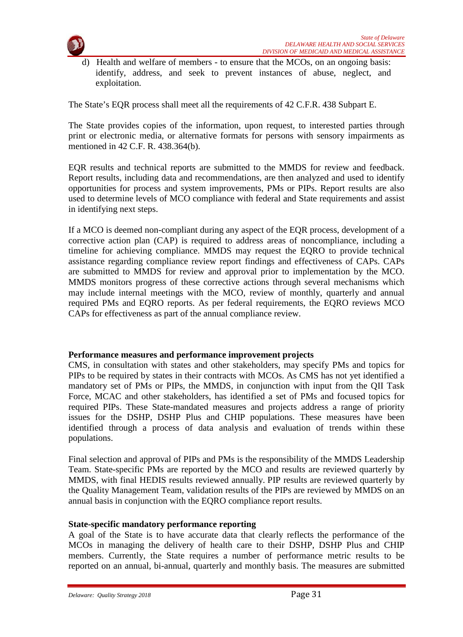

d) Health and welfare of members - to ensure that the MCOs, on an ongoing basis: identify, address, and seek to prevent instances of abuse, neglect, and exploitation.

The State's EQR process shall meet all the requirements of 42 C.F.R. 438 Subpart E.

The State provides copies of the information, upon request, to interested parties through print or electronic media, or alternative formats for persons with sensory impairments as mentioned in 42 C.F. R. 438.364(b).

EQR results and technical reports are submitted to the MMDS for review and feedback. Report results, including data and recommendations, are then analyzed and used to identify opportunities for process and system improvements, PMs or PIPs. Report results are also used to determine levels of MCO compliance with federal and State requirements and assist in identifying next steps.

If a MCO is deemed non-compliant during any aspect of the EQR process, development of a corrective action plan (CAP) is required to address areas of noncompliance, including a timeline for achieving compliance. MMDS may request the EQRO to provide technical assistance regarding compliance review report findings and effectiveness of CAPs. CAPs are submitted to MMDS for review and approval prior to implementation by the MCO. MMDS monitors progress of these corrective actions through several mechanisms which may include internal meetings with the MCO, review of monthly, quarterly and annual required PMs and EQRO reports. As per federal requirements, the EQRO reviews MCO CAPs for effectiveness as part of the annual compliance review.

#### **Performance measures and performance improvement projects**

CMS, in consultation with states and other stakeholders, may specify PMs and topics for PIPs to be required by states in their contracts with MCOs. As CMS has not yet identified a mandatory set of PMs or PIPs, the MMDS, in conjunction with input from the QII Task Force, MCAC and other stakeholders, has identified a set of PMs and focused topics for required PIPs. These State-mandated measures and projects address a range of priority issues for the DSHP, DSHP Plus and CHIP populations. These measures have been identified through a process of data analysis and evaluation of trends within these populations.

Final selection and approval of PIPs and PMs is the responsibility of the MMDS Leadership Team. State-specific PMs are reported by the MCO and results are reviewed quarterly by MMDS, with final HEDIS results reviewed annually. PIP results are reviewed quarterly by the Quality Management Team, validation results of the PIPs are reviewed by MMDS on an annual basis in conjunction with the EQRO compliance report results.

#### **State-specific mandatory performance reporting**

A goal of the State is to have accurate data that clearly reflects the performance of the MCOs in managing the delivery of health care to their DSHP, DSHP Plus and CHIP members. Currently, the State requires a number of performance metric results to be reported on an annual, bi-annual, quarterly and monthly basis. The measures are submitted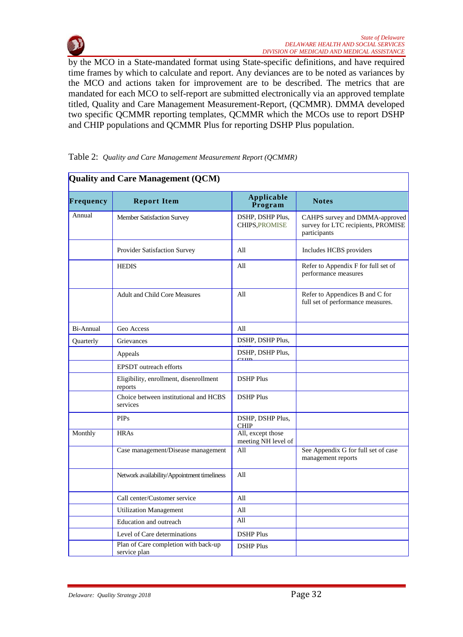

by the MCO in a State-mandated format using State-specific definitions, and have required time frames by which to calculate and report. Any deviances are to be noted as variances by the MCO and actions taken for improvement are to be described. The metrics that are mandated for each MCO to self-report are submitted electronically via an approved template titled, Quality and Care Management Measurement-Report, (QCMMR). DMMA developed two specific QCMMR reporting templates, QCMMR which the MCOs use to report DSHP and CHIP populations and QCMMR Plus for reporting DSHP Plus population.

|           | Quality and Care Management (QCM)                    |                                           |                                                                                      |
|-----------|------------------------------------------------------|-------------------------------------------|--------------------------------------------------------------------------------------|
| Frequency | <b>Report Item</b>                                   | Applicable<br>Program                     | <b>Notes</b>                                                                         |
| Annual    | <b>Member Satisfaction Survey</b>                    | DSHP, DSHP Plus,<br><b>CHIPS, PROMISE</b> | CAHPS survey and DMMA-approved<br>survey for LTC recipients, PROMISE<br>participants |
|           | Provider Satisfaction Survey                         | All                                       | Includes HCBS providers                                                              |
|           | <b>HEDIS</b>                                         | All                                       | Refer to Appendix F for full set of<br>performance measures                          |
|           | <b>Adult and Child Core Measures</b>                 | All                                       | Refer to Appendices B and C for<br>full set of performance measures.                 |
| Bi-Annual | Geo Access                                           | All                                       |                                                                                      |
| Quarterly | Grievances                                           | DSHP, DSHP Plus,                          |                                                                                      |
|           | Appeals                                              | DSHP, DSHP Plus,                          |                                                                                      |
|           | EPSDT outreach efforts                               | $_{\text{cum}}$                           |                                                                                      |
|           | Eligibility, enrollment, disenrollment<br>reports    | <b>DSHP</b> Plus                          |                                                                                      |
|           | Choice between institutional and HCBS<br>services    | <b>DSHP</b> Plus                          |                                                                                      |
|           | <b>PIPs</b>                                          | DSHP, DSHP Plus,<br><b>CHIP</b>           |                                                                                      |
| Monthly   | <b>HRAs</b>                                          | All, except those<br>meeting NH level of  |                                                                                      |
|           | Case management/Disease management                   | All                                       | See Appendix G for full set of case<br>management reports                            |
|           | Network availability/Appointment timeliness          | All                                       |                                                                                      |
|           | Call center/Customer service                         | All                                       |                                                                                      |
|           | <b>Utilization Management</b>                        | All                                       |                                                                                      |
|           | Education and outreach                               | All                                       |                                                                                      |
|           | Level of Care determinations                         | <b>DSHP</b> Plus                          |                                                                                      |
|           | Plan of Care completion with back-up<br>service plan | <b>DSHP</b> Plus                          |                                                                                      |

#### Table 2: *Quality and Care Management Measurement Report (QCMMR)*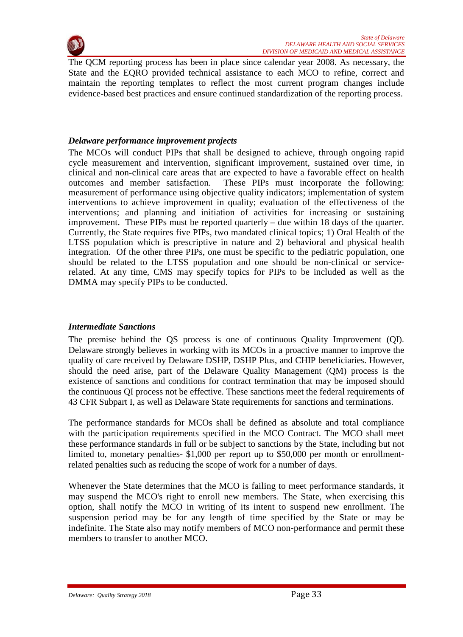

The QCM reporting process has been in place since calendar year 2008. As necessary, the State and the EQRO provided technical assistance to each MCO to refine, correct and maintain the reporting templates to reflect the most current program changes include evidence-based best practices and ensure continued standardization of the reporting process.

#### *Delaware performance improvement projects*

The MCOs will conduct PIPs that shall be designed to achieve, through ongoing rapid cycle measurement and intervention, significant improvement, sustained over time, in clinical and non-clinical care areas that are expected to have a favorable effect on health outcomes and member satisfaction. These PIPs must incorporate the following: measurement of performance using objective quality indicators; implementation of system interventions to achieve improvement in quality; evaluation of the effectiveness of the interventions; and planning and initiation of activities for increasing or sustaining improvement. These PIPs must be reported quarterly – due within 18 days of the quarter. Currently, the State requires five PIPs, two mandated clinical topics; 1) Oral Health of the LTSS population which is prescriptive in nature and 2) behavioral and physical health integration. Of the other three PIPs, one must be specific to the pediatric population, one should be related to the LTSS population and one should be non-clinical or servicerelated. At any time, CMS may specify topics for PIPs to be included as well as the DMMA may specify PIPs to be conducted.

#### *Intermediate Sanctions*

The premise behind the QS process is one of continuous Quality Improvement (QI). Delaware strongly believes in working with its MCOs in a proactive manner to improve the quality of care received by Delaware DSHP, DSHP Plus, and CHIP beneficiaries. However, should the need arise, part of the Delaware Quality Management (QM) process is the existence of sanctions and conditions for contract termination that may be imposed should the continuous QI process not be effective. These sanctions meet the federal requirements of 43 CFR Subpart I, as well as Delaware State requirements for sanctions and terminations.

The performance standards for MCOs shall be defined as absolute and total compliance with the participation requirements specified in the MCO Contract. The MCO shall meet these performance standards in full or be subject to sanctions by the State, including but not limited to, monetary penalties- \$1,000 per report up to \$50,000 per month or enrollmentrelated penalties such as reducing the scope of work for a number of days.

Whenever the State determines that the MCO is failing to meet performance standards, it may suspend the MCO's right to enroll new members. The State, when exercising this option, shall notify the MCO in writing of its intent to suspend new enrollment. The suspension period may be for any length of time specified by the State or may be indefinite. The State also may notify members of MCO non-performance and permit these members to transfer to another MCO.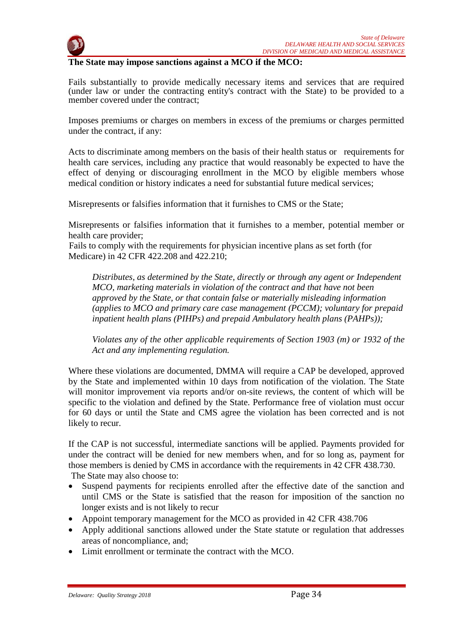

#### **The State may impose sanctions against a MCO if the MCO:**

Fails substantially to provide medically necessary items and services that are required (under law or under the contracting entity's contract with the State) to be provided to a member covered under the contract;

Imposes premiums or charges on members in excess of the premiums or charges permitted under the contract, if any:

Acts to discriminate among members on the basis of their health status or requirements for health care services, including any practice that would reasonably be expected to have the effect of denying or discouraging enrollment in the MCO by eligible members whose medical condition or history indicates a need for substantial future medical services;

Misrepresents or falsifies information that it furnishes to CMS or the State;

Misrepresents or falsifies information that it furnishes to a member, potential member or health care provider;

Fails to comply with the requirements for physician incentive plans as set forth (for Medicare) in 42 CFR 422.208 and 422.210;

*Distributes, as determined by the State, directly or through any agent or Independent MCO, marketing materials in violation of the contract and that have not been approved by the State, or that contain false or materially misleading information (applies to MCO and primary care case management (PCCM); voluntary for prepaid inpatient health plans (PIHPs) and prepaid Ambulatory health plans (PAHPs));*

*Violates any of the other applicable requirements of Section 1903 (m) or 1932 of the Act and any implementing regulation.*

Where these violations are documented, DMMA will require a CAP be developed, approved by the State and implemented within 10 days from notification of the violation. The State will monitor improvement via reports and/or on-site reviews, the content of which will be specific to the violation and defined by the State. Performance free of violation must occur for 60 days or until the State and CMS agree the violation has been corrected and is not likely to recur.

If the CAP is not successful, intermediate sanctions will be applied. Payments provided for under the contract will be denied for new members when, and for so long as, payment for those members is denied by CMS in accordance with the requirements in 42 CFR 438.730. The State may also choose to:

- Suspend payments for recipients enrolled after the effective date of the sanction and until CMS or the State is satisfied that the reason for imposition of the sanction no longer exists and is not likely to recur
- Appoint temporary management for the MCO as provided in 42 CFR 438.706
- Apply additional sanctions allowed under the State statute or regulation that addresses areas of noncompliance, and;
- Limit enrollment or terminate the contract with the MCO.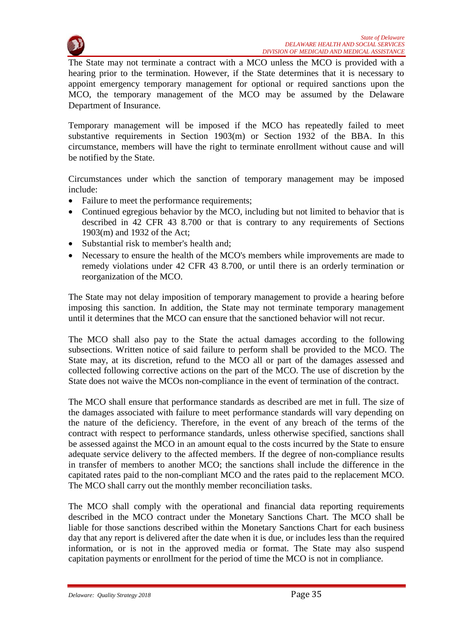

The State may not terminate a contract with a MCO unless the MCO is provided with a hearing prior to the termination. However, if the State determines that it is necessary to appoint emergency temporary management for optional or required sanctions upon the MCO, the temporary management of the MCO may be assumed by the Delaware Department of Insurance.

Temporary management will be imposed if the MCO has repeatedly failed to meet substantive requirements in Section 1903(m) or Section 1932 of the BBA. In this circumstance, members will have the right to terminate enrollment without cause and will be notified by the State.

Circumstances under which the sanction of temporary management may be imposed include:

- Failure to meet the performance requirements;
- Continued egregious behavior by the MCO, including but not limited to behavior that is described in 42 CFR 43 8.700 or that is contrary to any requirements of Sections 1903(m) and 1932 of the Act;
- Substantial risk to member's health and;
- Necessary to ensure the health of the MCO's members while improvements are made to remedy violations under 42 CFR 43 8.700, or until there is an orderly termination or reorganization of the MCO.

The State may not delay imposition of temporary management to provide a hearing before imposing this sanction. In addition, the State may not terminate temporary management until it determines that the MCO can ensure that the sanctioned behavior will not recur.

The MCO shall also pay to the State the actual damages according to the following subsections. Written notice of said failure to perform shall be provided to the MCO. The State may, at its discretion, refund to the MCO all or part of the damages assessed and collected following corrective actions on the part of the MCO. The use of discretion by the State does not waive the MCOs non-compliance in the event of termination of the contract.

The MCO shall ensure that performance standards as described are met in full. The size of the damages associated with failure to meet performance standards will vary depending on the nature of the deficiency. Therefore, in the event of any breach of the terms of the contract with respect to performance standards, unless otherwise specified, sanctions shall be assessed against the MCO in an amount equal to the costs incurred by the State to ensure adequate service delivery to the affected members. If the degree of non-compliance results in transfer of members to another MCO; the sanctions shall include the difference in the capitated rates paid to the non-compliant MCO and the rates paid to the replacement MCO. The MCO shall carry out the monthly member reconciliation tasks.

The MCO shall comply with the operational and financial data reporting requirements described in the MCO contract under the Monetary Sanctions Chart. The MCO shall be liable for those sanctions described within the Monetary Sanctions Chart for each business day that any report is delivered after the date when it is due, or includes less than the required information, or is not in the approved media or format. The State may also suspend capitation payments or enrollment for the period of time the MCO is not in compliance.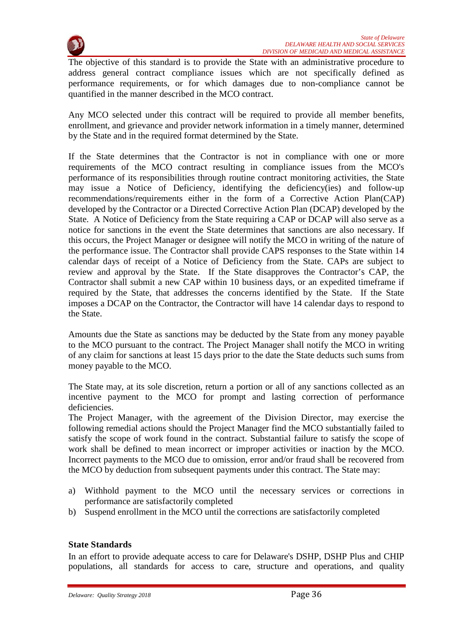

The objective of this standard is to provide the State with an administrative procedure to address general contract compliance issues which are not specifically defined as performance requirements, or for which damages due to non-compliance cannot be quantified in the manner described in the MCO contract.

Any MCO selected under this contract will be required to provide all member benefits, enrollment, and grievance and provider network information in a timely manner, determined by the State and in the required format determined by the State.

If the State determines that the Contractor is not in compliance with one or more requirements of the MCO contract resulting in compliance issues from the MCO's performance of its responsibilities through routine contract monitoring activities, the State may issue a Notice of Deficiency, identifying the deficiency(ies) and follow-up recommendations/requirements either in the form of a Corrective Action Plan(CAP) developed by the Contractor or a Directed Corrective Action Plan (DCAP) developed by the State. A Notice of Deficiency from the State requiring a CAP or DCAP will also serve as a notice for sanctions in the event the State determines that sanctions are also necessary. If this occurs, the Project Manager or designee will notify the MCO in writing of the nature of the performance issue. The Contractor shall provide CAPS responses to the State within 14 calendar days of receipt of a Notice of Deficiency from the State. CAPs are subject to review and approval by the State. If the State disapproves the Contractor's CAP, the Contractor shall submit a new CAP within 10 business days, or an expedited timeframe if required by the State, that addresses the concerns identified by the State. If the State imposes a DCAP on the Contractor, the Contractor will have 14 calendar days to respond to the State.

Amounts due the State as sanctions may be deducted by the State from any money payable to the MCO pursuant to the contract. The Project Manager shall notify the MCO in writing of any claim for sanctions at least 15 days prior to the date the State deducts such sums from money payable to the MCO.

The State may, at its sole discretion, return a portion or all of any sanctions collected as an incentive payment to the MCO for prompt and lasting correction of performance deficiencies.

The Project Manager, with the agreement of the Division Director, may exercise the following remedial actions should the Project Manager find the MCO substantially failed to satisfy the scope of work found in the contract. Substantial failure to satisfy the scope of work shall be defined to mean incorrect or improper activities or inaction by the MCO. Incorrect payments to the MCO due to omission, error and/or fraud shall be recovered from the MCO by deduction from subsequent payments under this contract. The State may:

- a) Withhold payment to the MCO until the necessary services or corrections in performance are satisfactorily completed
- b) Suspend enrollment in the MCO until the corrections are satisfactorily completed

# **State Standards**

In an effort to provide adequate access to care for Delaware's DSHP, DSHP Plus and CHIP populations, all standards for access to care, structure and operations, and quality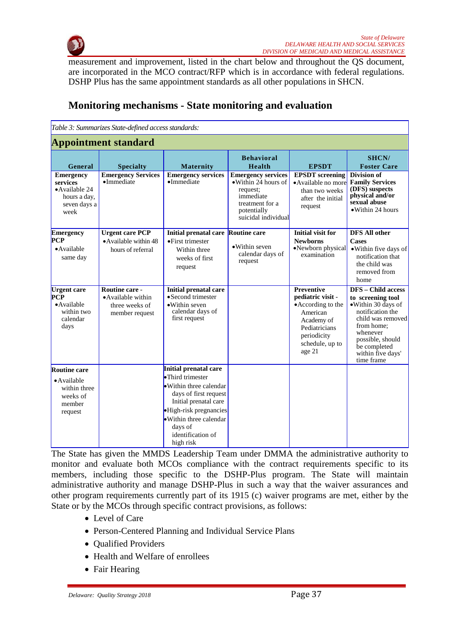

measurement and improvement, listed in the chart below and throughout the QS document, are incorporated in the MCO contract/RFP which is in accordance with federal regulations. DSHP Plus has the same appointment standards as all other populations in SHCN.

|                                                                                       | Table 3: Summarizes State-defined access standards:                      |                                                                                                                                                                                                 |                                                                                                                                     |                                                                                                                                                     |                                                                                                                                                                                                                |
|---------------------------------------------------------------------------------------|--------------------------------------------------------------------------|-------------------------------------------------------------------------------------------------------------------------------------------------------------------------------------------------|-------------------------------------------------------------------------------------------------------------------------------------|-----------------------------------------------------------------------------------------------------------------------------------------------------|----------------------------------------------------------------------------------------------------------------------------------------------------------------------------------------------------------------|
|                                                                                       | <b>Appointment standard</b>                                              |                                                                                                                                                                                                 |                                                                                                                                     |                                                                                                                                                     |                                                                                                                                                                                                                |
| General                                                                               | <b>Specialty</b>                                                         | Maternity                                                                                                                                                                                       | <b>Behavioral</b><br>Health                                                                                                         | <b>EPSDT</b>                                                                                                                                        | SHCN/<br><b>Foster Care</b>                                                                                                                                                                                    |
| <b>Emergency</b><br>services<br>•Available 24<br>hours a day,<br>seven days a<br>week | <b>Emergency Services</b><br>$\bullet$ Immediate                         | <b>Emergency services</b><br>$\bullet$ Immediate                                                                                                                                                | <b>Emergency services</b><br>• Within 24 hours of<br>request;<br>immediate<br>treatment for a<br>potentially<br>suicidal individual | <b>EPSDT</b> screening<br>• Available no more<br>than two weeks<br>after the initial<br>request                                                     | Division of<br><b>Family Services</b><br>(DFS) suspects<br>physical and/or<br>sexual abuse<br>• Within 24 hours                                                                                                |
| <b>Emergency</b>                                                                      | <b>Urgent care PCP</b>                                                   | Initial prenatal care Routine care                                                                                                                                                              |                                                                                                                                     | <b>Initial visit for</b>                                                                                                                            | <b>DFS All other</b>                                                                                                                                                                                           |
| <b>PCP</b><br>• Available<br>same day                                                 | • Available within 48<br>hours of referral                               | $\bullet$ First trimester<br>Within three<br>weeks of first<br>request                                                                                                                          | • Within seven<br>calendar days of<br>request                                                                                       | <b>Newborns</b><br>•Newborn physical<br>examination                                                                                                 | <b>Cases</b><br>• Within five days of<br>notification that<br>the child was<br>removed from<br>home                                                                                                            |
| Urgent care<br>PCP<br>• Available<br>within two<br>calendar<br>days                   | Routine care -<br>• Available within<br>three weeks of<br>member request | Initial prenatal care<br>• Second trimester<br>·Within seven<br>calendar days of<br>first request                                                                                               |                                                                                                                                     | <b>Preventive</b><br>pediatric visit -<br>• According to the<br>American<br>Academy of<br>Pediatricians<br>periodicity<br>schedule, up to<br>age 21 | <b>DFS</b> – Child access<br>to screening tool<br>·Within 30 days of<br>notification the<br>child was removed<br>from home;<br>whenever<br>possible, should<br>be completed<br>within five days'<br>time frame |
| <b>Routine care</b>                                                                   |                                                                          | Initial prenatal care                                                                                                                                                                           |                                                                                                                                     |                                                                                                                                                     |                                                                                                                                                                                                                |
| $\bullet$ Available<br>within three<br>weeks of<br>member<br>request                  |                                                                          | •Third trimester<br>• Within three calendar<br>days of first request<br>Initial prenatal care<br>•High-risk pregnancies<br>• Within three calendar<br>days of<br>identification of<br>high risk |                                                                                                                                     |                                                                                                                                                     |                                                                                                                                                                                                                |

# **Monitoring mechanisms - State monitoring and evaluation**

The State has given the MMDS Leadership Team under DMMA the administrative authority to monitor and evaluate both MCOs compliance with the contract requirements specific to its members, including those specific to the DSHP-Plus program. The State will maintain administrative authority and manage DSHP-Plus in such a way that the waiver assurances and other program requirements currently part of its 1915 (c) waiver programs are met, either by the State or by the MCOs through specific contract provisions, as follows:

- Level of Care
- Person-Centered Planning and Individual Service Plans
- Qualified Providers
- Health and Welfare of enrollees
- Fair Hearing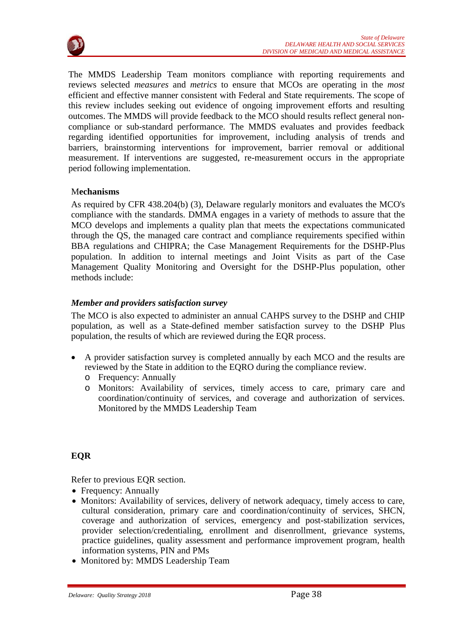

The MMDS Leadership Team monitors compliance with reporting requirements and reviews selected *measures* and *metrics* to ensure that MCOs are operating in the *most*  efficient and effective manner consistent with Federal and State requirements. The scope of this review includes seeking out evidence of ongoing improvement efforts and resulting outcomes. The MMDS will provide feedback to the MCO should results reflect general noncompliance or sub-standard performance. The MMDS evaluates and provides feedback regarding identified opportunities for improvement, including analysis of trends and barriers, brainstorming interventions for improvement, barrier removal or additional measurement. If interventions are suggested, re-measurement occurs in the appropriate period following implementation.

# M**echanisms**

As required by CFR 438.204(b) (3), Delaware regularly monitors and evaluates the MCO's compliance with the standards. DMMA engages in a variety of methods to assure that the MCO develops and implements a quality plan that meets the expectations communicated through the QS, the managed care contract and compliance requirements specified within BBA regulations and CHIPRA; the Case Management Requirements for the DSHP-Plus population. In addition to internal meetings and Joint Visits as part of the Case Management Quality Monitoring and Oversight for the DSHP-Plus population, other methods include:

# *Member and providers satisfaction survey*

The MCO is also expected to administer an annual CAHPS survey to the DSHP and CHIP population, as well as a State-defined member satisfaction survey to the DSHP Plus population, the results of which are reviewed during the EQR process.

- A provider satisfaction survey is completed annually by each MCO and the results are reviewed by the State in addition to the EQRO during the compliance review.
	- o Frequency: Annually
	- o Monitors: Availability of services, timely access to care, primary care and coordination/continuity of services, and coverage and authorization of services. Monitored by the MMDS Leadership Team

# **EQR**

Refer to previous EQR section.

- Frequency: Annually
- Monitors: Availability of services, delivery of network adequacy, timely access to care, cultural consideration, primary care and coordination/continuity of services, SHCN, coverage and authorization of services, emergency and post-stabilization services, provider selection/credentialing, enrollment and disenrollment, grievance systems, practice guidelines, quality assessment and performance improvement program, health information systems, PIN and PMs
- Monitored by: MMDS Leadership Team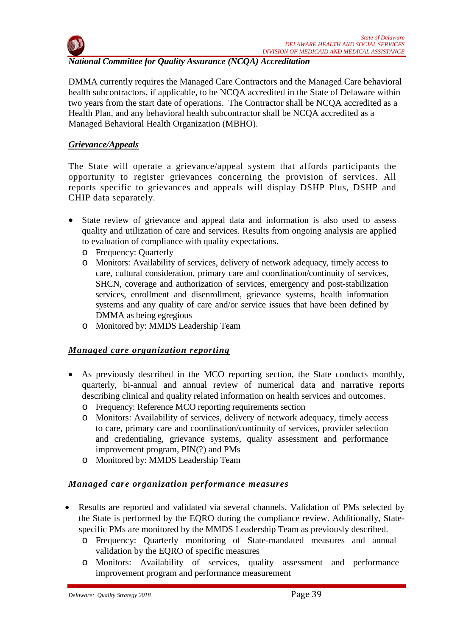

# *National Committee for Quality Assurance (NCQA) Accreditation*

DMMA currently requires the Managed Care Contractors and the Managed Care behavioral health subcontractors, if applicable, to be NCQA accredited in the State of Delaware within two years from the start date of operations. The Contractor shall be NCQA accredited as a Health Plan, and any behavioral health subcontractor shall be NCQA accredited as a Managed Behavioral Health Organization (MBHO).

# *Grievance/Appeals*

The State will operate a grievance/appeal system that affords participants the opportunity to register grievances concerning the provision of services. All reports specific to grievances and appeals will display DSHP Plus, DSHP and CHIP data separately.

- State review of grievance and appeal data and information is also used to assess quality and utilization of care and services. Results from ongoing analysis are applied to evaluation of compliance with quality expectations.
	- o Frequency: Quarterly
	- o Monitors: Availability of services, delivery of network adequacy, timely access to care, cultural consideration, primary care and coordination/continuity of services, SHCN, coverage and authorization of services, emergency and post-stabilization services, enrollment and disenrollment, grievance systems, health information systems and any quality of care and/or service issues that have been defined by DMMA as being egregious
	- o Monitored by: MMDS Leadership Team

# *Managed care organization reporting*

- As previously described in the MCO reporting section, the State conducts monthly, quarterly, bi-annual and annual review of numerical data and narrative reports describing clinical and quality related information on health services and outcomes.
	- o Frequency: Reference MCO reporting requirements section
	- o Monitors: Availability of services, delivery of network adequacy, timely access to care, primary care and coordination/continuity of services, provider selection and credentialing, grievance systems, quality assessment and performance improvement program, PIN(?) and PMs
	- o Monitored by: MMDS Leadership Team

# *Managed care organization performance measures*

- Results are reported and validated via several channels. Validation of PMs selected by the State is performed by the EQRO during the compliance review. Additionally, Statespecific PMs are monitored by the MMDS Leadership Team as previously described.
	- o Frequency: Quarterly monitoring of State-mandated measures and annual validation by the EQRO of specific measures
	- o Monitors: Availability of services, quality assessment and performance improvement program and performance measurement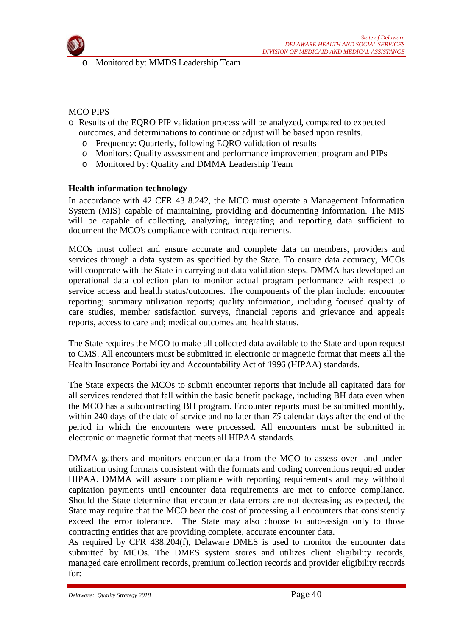

o Monitored by: MMDS Leadership Team

#### MCO PIPS

- o Results of the EQRO PIP validation process will be analyzed, compared to expected outcomes, and determinations to continue or adjust will be based upon results.
	- o Frequency: Quarterly, following EQRO validation of results
	- o Monitors: Quality assessment and performance improvement program and PIPs
	- o Monitored by: Quality and DMMA Leadership Team

#### **Health information technology**

In accordance with 42 CFR 43 8.242, the MCO must operate a Management Information System (MIS) capable of maintaining, providing and documenting information. The MIS will be capable of collecting, analyzing, integrating and reporting data sufficient to document the MCO's compliance with contract requirements.

MCOs must collect and ensure accurate and complete data on members, providers and services through a data system as specified by the State. To ensure data accuracy, MCOs will cooperate with the State in carrying out data validation steps. DMMA has developed an operational data collection plan to monitor actual program performance with respect to service access and health status/outcomes. The components of the plan include: encounter reporting; summary utilization reports; quality information, including focused quality of care studies, member satisfaction surveys, financial reports and grievance and appeals reports, access to care and; medical outcomes and health status.

The State requires the MCO to make all collected data available to the State and upon request to CMS. All encounters must be submitted in electronic or magnetic format that meets all the Health Insurance Portability and Accountability Act of 1996 (HIPAA) standards.

The State expects the MCOs to submit encounter reports that include all capitated data for all services rendered that fall within the basic benefit package, including BH data even when the MCO has a subcontracting BH program. Encounter reports must be submitted monthly, within 240 days of the date of service and no later than *75* calendar days after the end of the period in which the encounters were processed. All encounters must be submitted in electronic or magnetic format that meets all HIPAA standards.

DMMA gathers and monitors encounter data from the MCO to assess over- and underutilization using formats consistent with the formats and coding conventions required under HIPAA. DMMA will assure compliance with reporting requirements and may withhold capitation payments until encounter data requirements are met to enforce compliance. Should the State determine that encounter data errors are not decreasing as expected, the State may require that the MCO bear the cost of processing all encounters that consistently exceed the error tolerance. The State may also choose to auto-assign only to those contracting entities that are providing complete, accurate encounter data.

As required by CFR 438.204(f), Delaware DMES is used to monitor the encounter data submitted by MCOs. The DMES system stores and utilizes client eligibility records, managed care enrollment records, premium collection records and provider eligibility records for: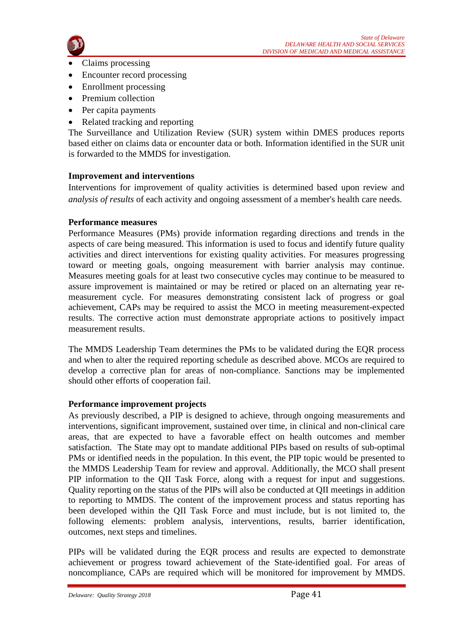

- Claims processing
- Encounter record processing
- Enrollment processing
- Premium collection
- Per capita payments
- Related tracking and reporting

The Surveillance and Utilization Review (SUR) system within DMES produces reports based either on claims data or encounter data or both. Information identified in the SUR unit is forwarded to the MMDS for investigation.

# **Improvement and interventions**

Interventions for improvement of quality activities is determined based upon review and *analysis of results* of each activity and ongoing assessment of a member's health care needs.

# **Performance measures**

Performance Measures (PMs) provide information regarding directions and trends in the aspects of care being measured. This information is used to focus and identify future quality activities and direct interventions for existing quality activities. For measures progressing toward or meeting goals, ongoing measurement with barrier analysis may continue. Measures meeting goals for at least two consecutive cycles may continue to be measured to assure improvement is maintained or may be retired or placed on an alternating year remeasurement cycle. For measures demonstrating consistent lack of progress or goal achievement, CAPs may be required to assist the MCO in meeting measurement-expected results. The corrective action must demonstrate appropriate actions to positively impact measurement results.

The MMDS Leadership Team determines the PMs to be validated during the EQR process and when to alter the required reporting schedule as described above. MCOs are required to develop a corrective plan for areas of non-compliance. Sanctions may be implemented should other efforts of cooperation fail.

# **Performance improvement projects**

As previously described, a PIP is designed to achieve, through ongoing measurements and interventions, significant improvement, sustained over time, in clinical and non-clinical care areas, that are expected to have a favorable effect on health outcomes and member satisfaction. The State may opt to mandate additional PIPs based on results of sub-optimal PMs or identified needs in the population. In this event, the PIP topic would be presented to the MMDS Leadership Team for review and approval. Additionally, the MCO shall present PIP information to the QII Task Force, along with a request for input and suggestions. Quality reporting on the status of the PIPs will also be conducted at QII meetings in addition to reporting to MMDS. The content of the improvement process and status reporting has been developed within the QII Task Force and must include, but is not limited to, the following elements: problem analysis, interventions, results, barrier identification, outcomes, next steps and timelines.

PIPs will be validated during the EQR process and results are expected to demonstrate achievement or progress toward achievement of the State-identified goal. For areas of noncompliance, CAPs are required which will be monitored for improvement by MMDS.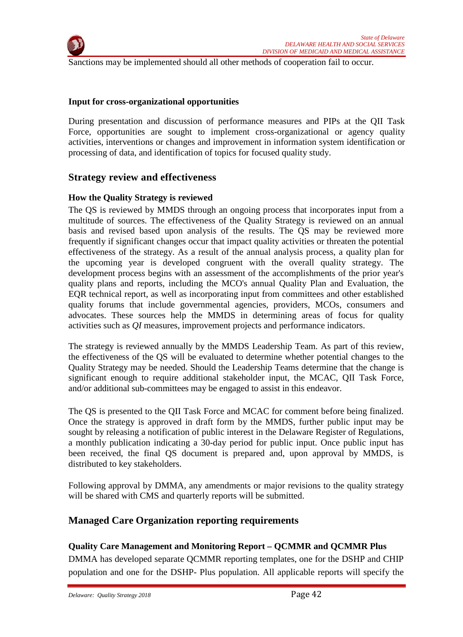

Sanctions may be implemented should all other methods of cooperation fail to occur.

#### **Input for cross-organizational opportunities**

During presentation and discussion of performance measures and PIPs at the QII Task Force, opportunities are sought to implement cross-organizational or agency quality activities, interventions or changes and improvement in information system identification or processing of data, and identification of topics for focused quality study.

# **Strategy review and effectiveness**

#### **How the Quality Strategy is reviewed**

The QS is reviewed by MMDS through an ongoing process that incorporates input from a multitude of sources. The effectiveness of the Quality Strategy is reviewed on an annual basis and revised based upon analysis of the results. The QS may be reviewed more frequently if significant changes occur that impact quality activities or threaten the potential effectiveness of the strategy. As a result of the annual analysis process, a quality plan for the upcoming year is developed congruent with the overall quality strategy. The development process begins with an assessment of the accomplishments of the prior year's quality plans and reports, including the MCO's annual Quality Plan and Evaluation, the EQR technical report, as well as incorporating input from committees and other established quality forums that include governmental agencies, providers, MCOs, consumers and advocates. These sources help the MMDS in determining areas of focus for quality activities such as *QI* measures, improvement projects and performance indicators.

The strategy is reviewed annually by the MMDS Leadership Team. As part of this review, the effectiveness of the QS will be evaluated to determine whether potential changes to the Quality Strategy may be needed. Should the Leadership Teams determine that the change is significant enough to require additional stakeholder input, the MCAC, QII Task Force, and/or additional sub-committees may be engaged to assist in this endeavor.

The QS is presented to the QII Task Force and MCAC for comment before being finalized. Once the strategy is approved in draft form by the MMDS, further public input may be sought by releasing a notification of public interest in the Delaware Register of Regulations, a monthly publication indicating a 30-day period for public input. Once public input has been received, the final QS document is prepared and, upon approval by MMDS, is distributed to key stakeholders.

Following approval by DMMA, any amendments or major revisions to the quality strategy will be shared with CMS and quarterly reports will be submitted.

# **Managed Care Organization reporting requirements**

# **Quality Care Management and Monitoring Report – QCMMR and QCMMR Plus**

DMMA has developed separate QCMMR reporting templates, one for the DSHP and CHIP population and one for the DSHP- Plus population. All applicable reports will specify the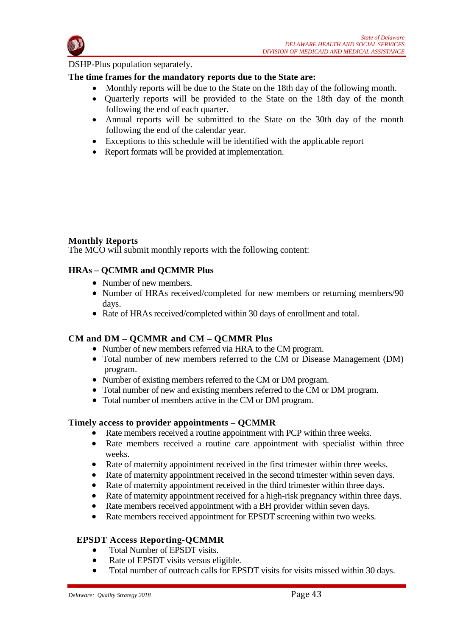

DSHP-Plus population separately.

# **The time frames for the mandatory reports due to the State are:**

- Monthly reports will be due to the State on the 18th day of the following month.
- Quarterly reports will be provided to the State on the 18th day of the month following the end of each quarter.
- Annual reports will be submitted to the State on the 30th day of the month following the end of the calendar year.
- Exceptions to this schedule will be identified with the applicable report
- Report formats will be provided at implementation.

#### **Monthly Reports**

The MCO will submit monthly reports with the following content:

#### **HRAs – QCMMR and QCMMR Plus**

- Number of new members.
- Number of HRAs received/completed for new members or returning members/90 days.
- Rate of HRAs received/completed within 30 days of enrollment and total.

# **CM and DM – QCMMR and CM – QCMMR Plus**

- Number of new members referred via HRA to the CM program.
- Total number of new members referred to the CM or Disease Management (DM) program.
- Number of existing members referred to the CM or DM program.
- Total number of new and existing members referred to the CM or DM program.
- Total number of members active in the CM or DM program.

#### **Timely access to provider appointments – QCMMR**

- Rate members received a routine appointment with PCP within three weeks.
- Rate members received a routine care appointment with specialist within three weeks.
- Rate of maternity appointment received in the first trimester within three weeks.
- Rate of maternity appointment received in the second trimester within seven days.
- Rate of maternity appointment received in the third trimester within three days.
- Rate of maternity appointment received for a high-risk pregnancy within three days.
- Rate members received appointment with a BH provider within seven days.
- Rate members received appointment for EPSDT screening within two weeks.

# **EPSDT Access Reporting-QCMMR**

- Total Number of EPSDT visits.
- Rate of EPSDT visits versus eligible.
- Total number of outreach calls for EPSDT visits for visits missed within 30 days.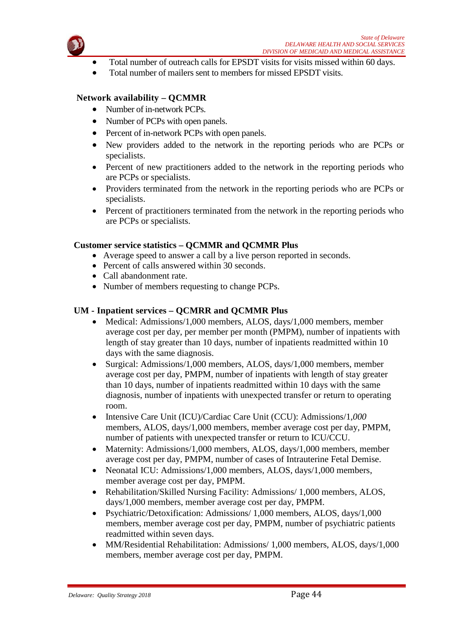

- Total number of outreach calls for EPSDT visits for visits missed within 60 days.
- Total number of mailers sent to members for missed EPSDT visits.

# **Network availability – QCMMR**

- Number of in-network PCPs.
- Number of PCPs with open panels.
- Percent of in-network PCPs with open panels.
- New providers added to the network in the reporting periods who are PCPs or specialists.
- Percent of new practitioners added to the network in the reporting periods who are PCPs or specialists.
- Providers terminated from the network in the reporting periods who are PCPs or specialists.
- Percent of practitioners terminated from the network in the reporting periods who are PCPs or specialists.

# **Customer service statistics – QCMMR and QCMMR Plus**

- Average speed to answer a call by a live person reported in seconds.
- Percent of calls answered within 30 seconds.
- Call abandonment rate.
- Number of members requesting to change PCPs.

#### **UM - Inpatient services – QCMRR and QCMMR Plus**

- Medical: Admissions/1,000 members, ALOS, days/1,000 members, member average cost per day, per member per month (PMPM), number of inpatients with length of stay greater than 10 days, number of inpatients readmitted within 10 days with the same diagnosis.
- Surgical: Admissions/1,000 members, ALOS, days/1,000 members, member average cost per day, PMPM, number of inpatients with length of stay greater than 10 days, number of inpatients readmitted within 10 days with the same diagnosis, number of inpatients with unexpected transfer or return to operating room.
- Intensive Care Unit (ICU)/Cardiac Care Unit (CCU): Admissions/1*,000*  members, ALOS, days/1,000 members, member average cost per day, PMPM, number of patients with unexpected transfer or return to ICU/CCU.
- Maternity: Admissions/1,000 members, ALOS, days/1,000 members, member average cost per day, PMPM, number of cases of Intrauterine Fetal Demise.
- Neonatal ICU: Admissions/1,000 members, ALOS, days/1,000 members, member average cost per day, PMPM.
- Rehabilitation/Skilled Nursing Facility: Admissions/ 1,000 members, ALOS, days/1,000 members, member average cost per day, PMPM.
- Psychiatric/Detoxification: Admissions/ 1,000 members, ALOS, days/1,000 members, member average cost per day, PMPM, number of psychiatric patients readmitted within seven days.
- MM/Residential Rehabilitation: Admissions/ 1,000 members, ALOS, days/1,000 members, member average cost per day, PMPM.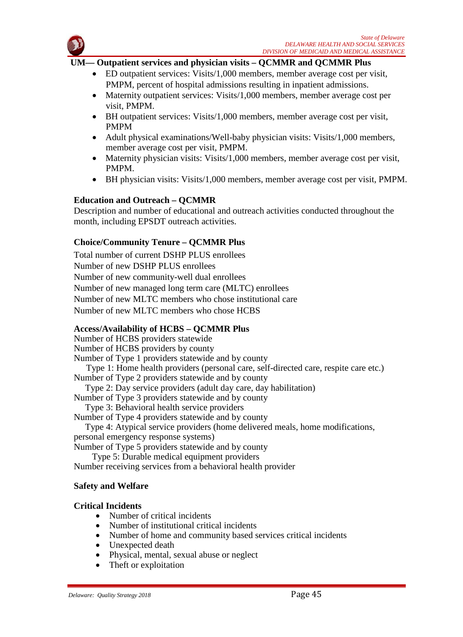

#### **UM— Outpatient services and physician visits – QCMMR and QCMMR Plus**

- ED outpatient services: Visits/1,000 members, member average cost per visit, PMPM, percent of hospital admissions resulting in inpatient admissions.
- Maternity outpatient services: Visits/1,000 members, member average cost per visit, PMPM.
- BH outpatient services: Visits/1,000 members, member average cost per visit, PMPM
- Adult physical examinations/Well-baby physician visits: Visits/1,000 members, member average cost per visit, PMPM.
- Maternity physician visits: Visits/1,000 members, member average cost per visit, PMPM.
- BH physician visits: Visits/1,000 members, member average cost per visit, PMPM.

# **Education and Outreach – QCMMR**

Description and number of educational and outreach activities conducted throughout the month, including EPSDT outreach activities.

# **Choice/Community Tenure – QCMMR Plus**

Total number of current DSHP PLUS enrollees Number of new DSHP PLUS enrollees Number of new community-well dual enrollees Number of new managed long term care (MLTC) enrollees Number of new MLTC members who chose institutional care Number of new MLTC members who chose HCBS

# **Access/Availability of HCBS – QCMMR Plus**

Number of HCBS providers statewide Number of HCBS providers by county Number of Type 1 providers statewide and by county Type 1: Home health providers (personal care, self-directed care, respite care etc.) Number of Type 2 providers statewide and by county Type 2: Day service providers (adult day care, day habilitation) Number of Type 3 providers statewide and by county Type 3: Behavioral health service providers Number of Type 4 providers statewide and by county Type 4: Atypical service providers (home delivered meals, home modifications, personal emergency response systems)

Number of Type 5 providers statewide and by county

Type 5: Durable medical equipment providers

Number receiving services from a behavioral health provider

# **Safety and Welfare**

# **Critical Incidents**

- Number of critical incidents
- Number of institutional critical incidents
- Number of home and community based services critical incidents
- Unexpected death
- Physical, mental, sexual abuse or neglect
- Theft or exploitation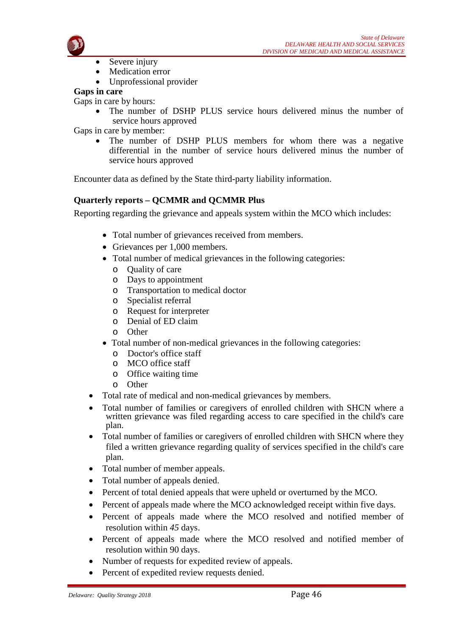

- Severe injury
- Medication error
- Unprofessional provider

# **Gaps in care**

Gaps in care by hours:

The number of DSHP PLUS service hours delivered minus the number of service hours approved

Gaps in care by member:

The number of DSHP PLUS members for whom there was a negative differential in the number of service hours delivered minus the number of service hours approved

Encounter data as defined by the State third-party liability information.

# **Quarterly reports – QCMMR and QCMMR Plus**

Reporting regarding the grievance and appeals system within the MCO which includes:

- Total number of grievances received from members.
- Grievances per 1,000 members.
- Total number of medical grievances in the following categories:
	- o Quality of care
	- o Days to appointment
	- o Transportation to medical doctor
	- o Specialist referral
	- o Request for interpreter
	- o Denial of ED claim
	- o Other
- Total number of non-medical grievances in the following categories:
	- o Doctor's office staff
	- o MCO office staff
	- o Office waiting time
	- o Other
- Total rate of medical and non-medical grievances by members.
- Total number of families or caregivers of enrolled children with SHCN where a written grievance was filed regarding access to care specified in the child's care plan.
- Total number of families or caregivers of enrolled children with SHCN where they filed a written grievance regarding quality of services specified in the child's care plan.
- Total number of member appeals.
- Total number of appeals denied.
- Percent of total denied appeals that were upheld or overturned by the MCO.
- Percent of appeals made where the MCO acknowledged receipt within five days.
- Percent of appeals made where the MCO resolved and notified member of resolution within *45* days.
- Percent of appeals made where the MCO resolved and notified member of resolution within 90 days.
- Number of requests for expedited review of appeals.
- Percent of expedited review requests denied.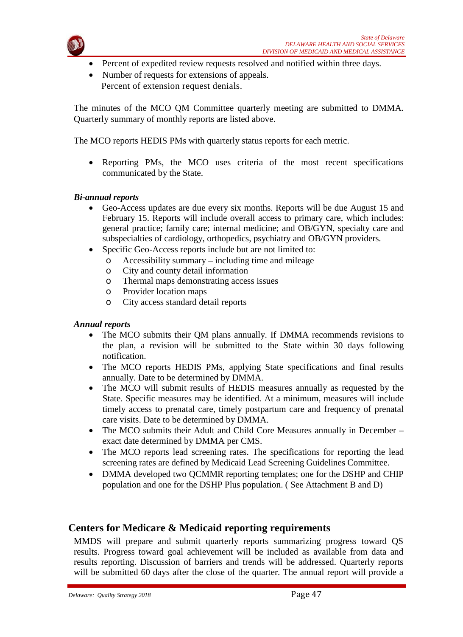

- Percent of expedited review requests resolved and notified within three days.
- Number of requests for extensions of appeals. Percent of extension request denials.

The minutes of the MCO QM Committee quarterly meeting are submitted to DMMA. Quarterly summary of monthly reports are listed above.

The MCO reports HEDIS PMs with quarterly status reports for each metric.

• Reporting PMs, the MCO uses criteria of the most recent specifications communicated by the State.

#### *Bi-annual reports*

- Geo-Access updates are due every six months. Reports will be due August 15 and February 15. Reports will include overall access to primary care, which includes: general practice; family care; internal medicine; and OB/GYN, specialty care and subspecialties of cardiology, orthopedics, psychiatry and OB/GYN providers.
- Specific Geo-Access reports include but are not limited to:
	- o Accessibility summary including time and mileage
	- o City and county detail information
	- o Thermal maps demonstrating access issues
	- o Provider location maps
	- City access standard detail reports

#### *Annual reports*

- The MCO submits their QM plans annually. If DMMA recommends revisions to the plan, a revision will be submitted to the State within 30 days following notification.
- The MCO reports HEDIS PMs, applying State specifications and final results annually. Date to be determined by DMMA.
- The MCO will submit results of HEDIS measures annually as requested by the State. Specific measures may be identified. At a minimum, measures will include timely access to prenatal care, timely postpartum care and frequency of prenatal care visits. Date to be determined by DMMA.
- The MCO submits their Adult and Child Core Measures annually in December exact date determined by DMMA per CMS.
- The MCO reports lead screening rates. The specifications for reporting the lead screening rates are defined by Medicaid Lead Screening Guidelines Committee.
- DMMA developed two QCMMR reporting templates; one for the DSHP and CHIP population and one for the DSHP Plus population. ( See Attachment B and D)

# **Centers for Medicare & Medicaid reporting requirements**

MMDS will prepare and submit quarterly reports summarizing progress toward QS results. Progress toward goal achievement will be included as available from data and results reporting. Discussion of barriers and trends will be addressed. Quarterly reports will be submitted 60 days after the close of the quarter. The annual report will provide a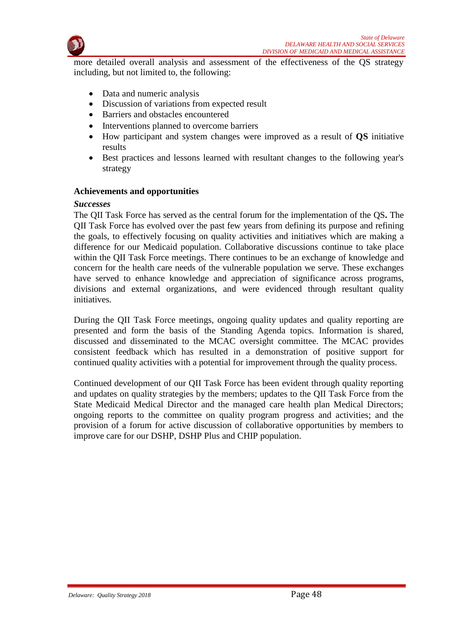

more detailed overall analysis and assessment of the effectiveness of the QS strategy including, but not limited to, the following:

- Data and numeric analysis
- Discussion of variations from expected result
- Barriers and obstacles encountered
- Interventions planned to overcome barriers
- How participant and system changes were improved as a result of **QS** initiative results
- Best practices and lessons learned with resultant changes to the following year's strategy

#### **Achievements and opportunities**

#### *Successes*

The QII Task Force has served as the central forum for the implementation of the QS**.** The QII Task Force has evolved over the past few years from defining its purpose and refining the goals, to effectively focusing on quality activities and initiatives which are making a difference for our Medicaid population. Collaborative discussions continue to take place within the QII Task Force meetings. There continues to be an exchange of knowledge and concern for the health care needs of the vulnerable population we serve. These exchanges have served to enhance knowledge and appreciation of significance across programs, divisions and external organizations, and were evidenced through resultant quality initiatives.

During the QII Task Force meetings, ongoing quality updates and quality reporting are presented and form the basis of the Standing Agenda topics. Information is shared, discussed and disseminated to the MCAC oversight committee. The MCAC provides consistent feedback which has resulted in a demonstration of positive support for continued quality activities with a potential for improvement through the quality process.

Continued development of our QII Task Force has been evident through quality reporting and updates on quality strategies by the members; updates to the QII Task Force from the State Medicaid Medical Director and the managed care health plan Medical Directors; ongoing reports to the committee on quality program progress and activities; and the provision of a forum for active discussion of collaborative opportunities by members to improve care for our DSHP, DSHP Plus and CHIP population.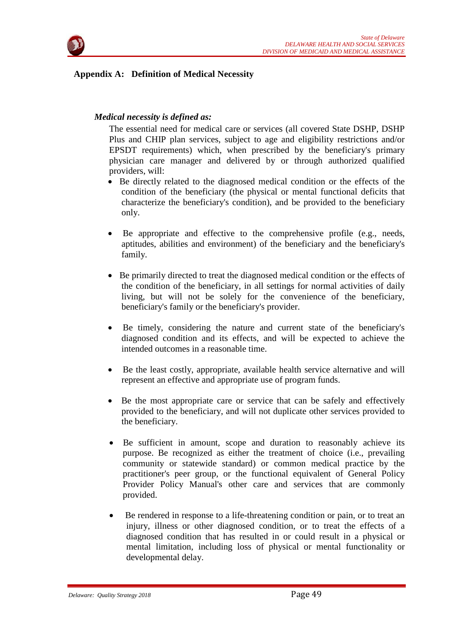

# **Appendix A: Definition of Medical Necessity**

# *Medical necessity is defined as:*

The essential need for medical care or services (all covered State DSHP, DSHP Plus and CHIP plan services, subject to age and eligibility restrictions and/or EPSDT requirements) which, when prescribed by the beneficiary's primary physician care manager and delivered by or through authorized qualified providers, will:

- Be directly related to the diagnosed medical condition or the effects of the condition of the beneficiary (the physical or mental functional deficits that characterize the beneficiary's condition), and be provided to the beneficiary only.
- Be appropriate and effective to the comprehensive profile (e.g., needs, aptitudes, abilities and environment) of the beneficiary and the beneficiary's family.
- Be primarily directed to treat the diagnosed medical condition or the effects of the condition of the beneficiary, in all settings for normal activities of daily living, but will not be solely for the convenience of the beneficiary, beneficiary's family or the beneficiary's provider.
- Be timely, considering the nature and current state of the beneficiary's diagnosed condition and its effects, and will be expected to achieve the intended outcomes in a reasonable time.
- Be the least costly, appropriate, available health service alternative and will represent an effective and appropriate use of program funds.
- Be the most appropriate care or service that can be safely and effectively provided to the beneficiary, and will not duplicate other services provided to the beneficiary.
- Be sufficient in amount, scope and duration to reasonably achieve its purpose. Be recognized as either the treatment of choice (i.e., prevailing community or statewide standard) or common medical practice by the practitioner's peer group, or the functional equivalent of General Policy Provider Policy Manual's other care and services that are commonly provided.
- Be rendered in response to a life-threatening condition or pain, or to treat an injury, illness or other diagnosed condition, or to treat the effects of a diagnosed condition that has resulted in or could result in a physical or mental limitation, including loss of physical or mental functionality or developmental delay.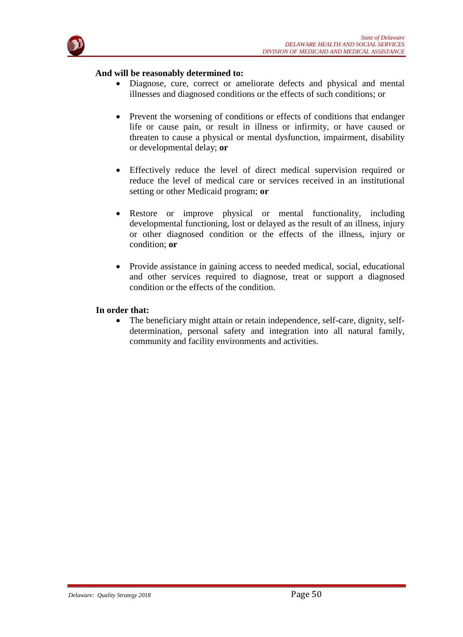

#### **And will be reasonably determined to:**

- Diagnose, cure, correct or ameliorate defects and physical and mental illnesses and diagnosed conditions or the effects of such conditions; or
- Prevent the worsening of conditions or effects of conditions that endanger life or cause pain, or result in illness or infirmity, or have caused or threaten to cause a physical or mental dysfunction, impairment, disability or developmental delay; **or**
- Effectively reduce the level of direct medical supervision required or reduce the level of medical care or services received in an institutional setting or other Medicaid program; **or**
- Restore or improve physical or mental functionality, including developmental functioning, lost or delayed as the result of an illness, injury or other diagnosed condition or the effects of the illness, injury or condition; **or**
- Provide assistance in gaining access to needed medical, social, educational and other services required to diagnose, treat or support a diagnosed condition or the effects of the condition.

#### **In order that:**

• The beneficiary might attain or retain independence, self-care, dignity, selfdetermination, personal safety and integration into all natural family, community and facility environments and activities.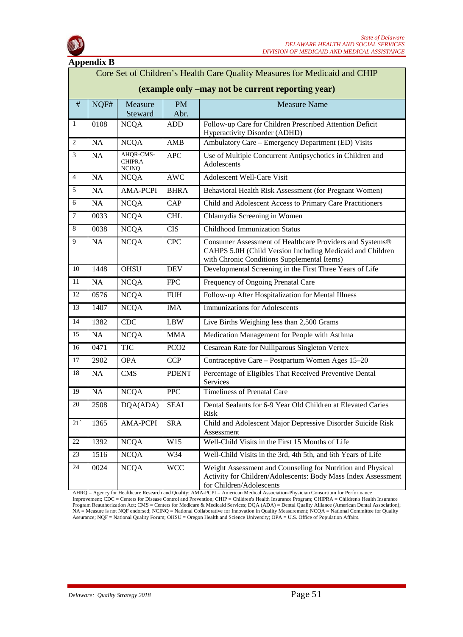

|                                                                                                                                | <b>Appendix B</b> |                                            |                  |                                                                                                                                                                      |   |
|--------------------------------------------------------------------------------------------------------------------------------|-------------------|--------------------------------------------|------------------|----------------------------------------------------------------------------------------------------------------------------------------------------------------------|---|
| Core Set of Children's Health Care Quality Measures for Medicaid and CHIP<br>(example only -may not be current reporting year) |                   |                                            |                  |                                                                                                                                                                      |   |
|                                                                                                                                |                   |                                            |                  |                                                                                                                                                                      | # |
| $\mathbf{1}$                                                                                                                   | 0108              | <b>NCQA</b>                                | <b>ADD</b>       | Follow-up Care for Children Prescribed Attention Deficit<br>Hyperactivity Disorder (ADHD)                                                                            |   |
| 2                                                                                                                              | <b>NA</b>         | <b>NCQA</b>                                | AMB              | Ambulatory Care – Emergency Department (ED) Visits                                                                                                                   |   |
| $\mathfrak{Z}$                                                                                                                 | NA                | AHQR-CMS-<br><b>CHIPRA</b><br><b>NCINQ</b> | <b>APC</b>       | Use of Multiple Concurrent Antipsychotics in Children and<br>Adolescents                                                                                             |   |
| $\overline{4}$                                                                                                                 | <b>NA</b>         | <b>NCQA</b>                                | <b>AWC</b>       | <b>Adolescent Well-Care Visit</b>                                                                                                                                    |   |
| 5                                                                                                                              | <b>NA</b>         | <b>AMA-PCPI</b>                            | <b>BHRA</b>      | Behavioral Health Risk Assessment (for Pregnant Women)                                                                                                               |   |
| 6                                                                                                                              | <b>NA</b>         | <b>NCQA</b>                                | CAP              | Child and Adolescent Access to Primary Care Practitioners                                                                                                            |   |
| $\overline{7}$                                                                                                                 | 0033              | <b>NCQA</b>                                | <b>CHL</b>       | Chlamydia Screening in Women                                                                                                                                         |   |
| 8                                                                                                                              | 0038              | <b>NCQA</b>                                | <b>CIS</b>       | <b>Childhood Immunization Status</b>                                                                                                                                 |   |
| 9                                                                                                                              | NA                | <b>NCQA</b>                                | <b>CPC</b>       | Consumer Assessment of Healthcare Providers and Systems®<br>CAHPS 5.0H (Child Version Including Medicaid and Children<br>with Chronic Conditions Supplemental Items) |   |
| 10                                                                                                                             | 1448              | <b>OHSU</b>                                | <b>DEV</b>       | Developmental Screening in the First Three Years of Life                                                                                                             |   |
| 11                                                                                                                             | <b>NA</b>         | <b>NCQA</b>                                | <b>FPC</b>       | Frequency of Ongoing Prenatal Care                                                                                                                                   |   |
| 12                                                                                                                             | 0576              | <b>NCQA</b>                                | <b>FUH</b>       | Follow-up After Hospitalization for Mental Illness                                                                                                                   |   |
| 13                                                                                                                             | 1407              | <b>NCQA</b>                                | <b>IMA</b>       | <b>Immunizations for Adolescents</b>                                                                                                                                 |   |
| 14                                                                                                                             | 1382              | CDC                                        | <b>LBW</b>       | Live Births Weighing less than 2,500 Grams                                                                                                                           |   |
| 15                                                                                                                             | NA                | <b>NCQA</b>                                | <b>MMA</b>       | Medication Management for People with Asthma                                                                                                                         |   |
| 16                                                                                                                             | 0471              | <b>TJC</b>                                 | PCO <sub>2</sub> | Cesarean Rate for Nulliparous Singleton Vertex                                                                                                                       |   |
| 17                                                                                                                             | 2902              | <b>OPA</b>                                 | <b>CCP</b>       | Contraceptive Care - Postpartum Women Ages 15-20                                                                                                                     |   |
| 18                                                                                                                             | NA                | <b>CMS</b>                                 | <b>PDENT</b>     | Percentage of Eligibles That Received Preventive Dental<br>Services                                                                                                  |   |
| 19                                                                                                                             | NA                | <b>NCQA</b>                                | <b>PPC</b>       | <b>Timeliness of Prenatal Care</b>                                                                                                                                   |   |
| $20\,$                                                                                                                         | 2508              | DQA(ADA)                                   | <b>SEAL</b>      | Dental Sealants for 6-9 Year Old Children at Elevated Caries<br>Risk                                                                                                 |   |
| 21                                                                                                                             | 1365              | <b>AMA-PCPI</b>                            | <b>SRA</b>       | Child and Adolescent Major Depressive Disorder Suicide Risk<br>Assessment                                                                                            |   |
| 22                                                                                                                             | 1392              | <b>NCQA</b>                                | W15              | Well-Child Visits in the First 15 Months of Life                                                                                                                     |   |
| 23                                                                                                                             | 1516              | <b>NCQA</b>                                | W34              | Well-Child Visits in the 3rd, 4th 5th, and 6th Years of Life                                                                                                         |   |
| 24                                                                                                                             | 0024              | <b>NCQA</b>                                | <b>WCC</b>       | Weight Assessment and Counseling for Nutrition and Physical<br>Activity for Children/Adolescents: Body Mass Index Assessment<br>for Children/Adolescents             |   |

AHRQ = Agency for Healthcare Research and Quality; AMA-PCPI = American Medical Association-Physician Consortium for Performance Improvement; CDC = Centers for Disease Control and Prevention; CHIP = Children's Health Insurance Program; CHIPRA = Children's Health Insurance Program Reauthorization Act; CMS = Centers for Medicare & Medicaid Services; DQA (ADA) = Dental Quality Alliance (American Dental Association); NA = Measure is not NQF endorsed; NCINQ = National Collaborative for Innovation in Quality Measurement; NCQA = National Committee for Quality Assurance; NQF = National Quality Forum; OHSU = Oregon Health and Science University; OPA = U.S. Office of Population Affairs.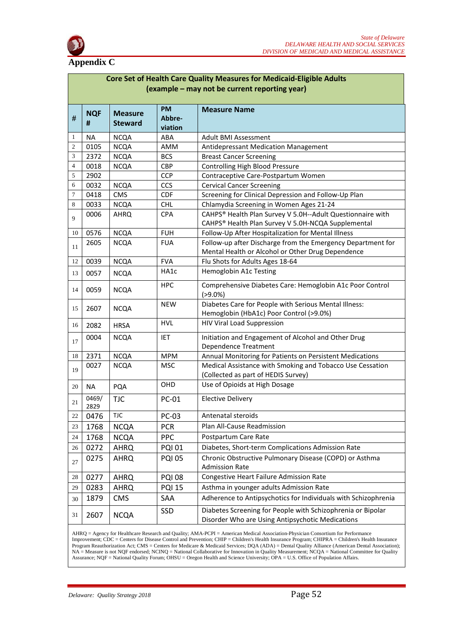

#### **Appendix C**

| Core Set of Health Care Quality Measures for Medicaid-Eligible Adults<br>(example – may not be current reporting year) |                 |                                  |                                |                                                                                                                  |
|------------------------------------------------------------------------------------------------------------------------|-----------------|----------------------------------|--------------------------------|------------------------------------------------------------------------------------------------------------------|
| $\#$                                                                                                                   | <b>NQF</b><br># | <b>Measure</b><br><b>Steward</b> | <b>PM</b><br>Abbre-<br>viation | <b>Measure Name</b>                                                                                              |
| 1                                                                                                                      | <b>NA</b>       | <b>NCQA</b>                      | ABA                            | <b>Adult BMI Assessment</b>                                                                                      |
| 2                                                                                                                      | 0105            | <b>NCQA</b>                      | AMM                            | Antidepressant Medication Management                                                                             |
| 3                                                                                                                      | 2372            | <b>NCQA</b>                      | <b>BCS</b>                     | <b>Breast Cancer Screening</b>                                                                                   |
| $\overline{4}$                                                                                                         | 0018            | <b>NCQA</b>                      | <b>CBP</b>                     | Controlling High Blood Pressure                                                                                  |
| 5                                                                                                                      | 2902            |                                  | <b>CCP</b>                     | Contraceptive Care-Postpartum Women                                                                              |
| 6                                                                                                                      | 0032            | <b>NCQA</b>                      | <b>CCS</b>                     | <b>Cervical Cancer Screening</b>                                                                                 |
| 7                                                                                                                      | 0418            | <b>CMS</b>                       | <b>CDF</b>                     | Screening for Clinical Depression and Follow-Up Plan                                                             |
| 8                                                                                                                      | 0033            | <b>NCQA</b>                      | <b>CHL</b>                     | Chlamydia Screening in Women Ages 21-24                                                                          |
| 9                                                                                                                      | 0006            | <b>AHRQ</b>                      | <b>CPA</b>                     | CAHPS® Health Plan Survey V 5.0H--Adult Questionnaire with<br>CAHPS® Health Plan Survey V 5.0H-NCQA Supplemental |
| 10                                                                                                                     | 0576            | <b>NCQA</b>                      | <b>FUH</b>                     | Follow-Up After Hospitalization for Mental Illness                                                               |
| 11                                                                                                                     | 2605            | <b>NCQA</b>                      | <b>FUA</b>                     | Follow-up after Discharge from the Emergency Department for<br>Mental Health or Alcohol or Other Drug Dependence |
| 12                                                                                                                     | 0039            | <b>NCQA</b>                      | <b>FVA</b>                     | Flu Shots for Adults Ages 18-64                                                                                  |
| 13                                                                                                                     | 0057            | <b>NCQA</b>                      | HA1c                           | Hemoglobin A1c Testing                                                                                           |
| 14                                                                                                                     | 0059            | <b>NCQA</b>                      | <b>HPC</b>                     | Comprehensive Diabetes Care: Hemoglobin A1c Poor Control<br>$( > 9.0\%)$                                         |
| 15                                                                                                                     | 2607            | <b>NCQA</b>                      | <b>NEW</b>                     | Diabetes Care for People with Serious Mental Illness:<br>Hemoglobin (HbA1c) Poor Control (>9.0%)                 |
| 16                                                                                                                     | 2082            | <b>HRSA</b>                      | <b>HVL</b>                     | <b>HIV Viral Load Suppression</b>                                                                                |
| 17                                                                                                                     | 0004            | <b>NCQA</b>                      | IET                            | Initiation and Engagement of Alcohol and Other Drug<br>Dependence Treatment                                      |
| 18                                                                                                                     | 2371            | <b>NCQA</b>                      | <b>MPM</b>                     | Annual Monitoring for Patients on Persistent Medications                                                         |
| 19                                                                                                                     | 0027            | <b>NCQA</b>                      | <b>MSC</b>                     | Medical Assistance with Smoking and Tobacco Use Cessation<br>(Collected as part of HEDIS Survey)                 |
| 20                                                                                                                     | <b>NA</b>       | PQA                              | OHD                            | Use of Opioids at High Dosage                                                                                    |
| 21                                                                                                                     | 0469/<br>2829   | <b>TJC</b>                       | PC-01                          | <b>Elective Delivery</b>                                                                                         |
| 22                                                                                                                     | 0476            | <b>TJC</b>                       | PC-03                          | Antenatal steroids                                                                                               |
| 23                                                                                                                     | 1768            | <b>NCQA</b>                      | <b>PCR</b>                     | Plan All-Cause Readmission                                                                                       |
| 24                                                                                                                     | 1768            | <b>NCQA</b>                      | <b>PPC</b>                     | Postpartum Care Rate                                                                                             |
| 26                                                                                                                     | 0272            | <b>AHRQ</b>                      | <b>PQI 01</b>                  | Diabetes, Short-term Complications Admission Rate                                                                |
| 27                                                                                                                     | 0275            | AHRQ                             | <b>PQI 05</b>                  | Chronic Obstructive Pulmonary Disease (COPD) or Asthma<br><b>Admission Rate</b>                                  |
| 28                                                                                                                     | 0277            | <b>AHRQ</b>                      | <b>PQI 08</b>                  | Congestive Heart Failure Admission Rate                                                                          |
| 29                                                                                                                     | 0283            | <b>AHRQ</b>                      | <b>PQI 15</b>                  | Asthma in younger adults Admission Rate                                                                          |
| 30                                                                                                                     | 1879            | <b>CMS</b>                       | SAA                            | Adherence to Antipsychotics for Individuals with Schizophrenia                                                   |
| 31                                                                                                                     | 2607            | <b>NCQA</b>                      | SSD                            | Diabetes Screening for People with Schizophrenia or Bipolar<br>Disorder Who are Using Antipsychotic Medications  |

AHRQ = Agency for Healthcare Research and Quality; AMA-PCPI = American Medical Association-Physician Consortium for Performance Improvement; CDC = Centers for Disease Control and Prevention; CHIP = Children's Health Insurance Program; CHIPRA = Children's Health Insurance Program Reauthorization Act; CMS = Centers for Medicare & Medicaid Services; DQA (ADA) = Dental Quality Alliance (American Dental Association); NA = Measure is not NQF endorsed; NCINQ = National Collaborative for Innovation in Quality Measurement; NCQA = National Committee for Quality Assurance; NQF = National Quality Forum; OHSU = Oregon Health and Science University; OPA = U.S. Office of Population Affairs.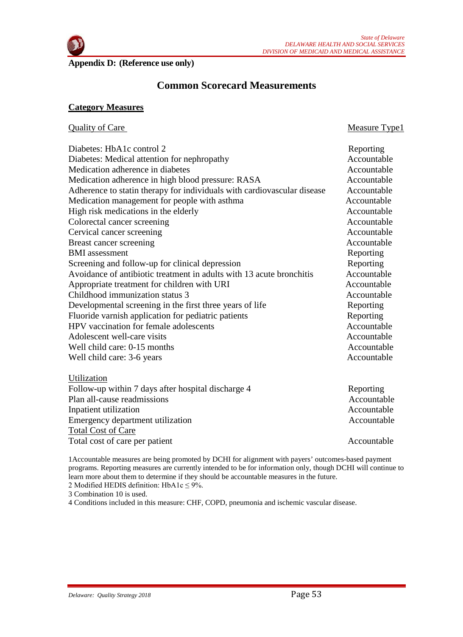

Measure Type1

**Appendix D: (Reference use only)**

# **Common Scorecard Measurements**

#### **Category Measures**

| <b>Quality of Care</b> |
|------------------------|
|                        |

| Diabetes: HbA1c control 2                                               | Reporting   |
|-------------------------------------------------------------------------|-------------|
| Diabetes: Medical attention for nephropathy                             | Accountable |
| Medication adherence in diabetes                                        | Accountable |
| Medication adherence in high blood pressure: RASA                       | Accountable |
| Adherence to statin therapy for individuals with cardiovascular disease | Accountable |
| Medication management for people with asthma                            | Accountable |
| High risk medications in the elderly                                    | Accountable |
| Colorectal cancer screening                                             | Accountable |
| Cervical cancer screening                                               | Accountable |
| Breast cancer screening                                                 | Accountable |
| <b>BMI</b> assessment                                                   | Reporting   |
| Screening and follow-up for clinical depression                         | Reporting   |
| Avoidance of antibiotic treatment in adults with 13 acute bronchitis    | Accountable |
| Appropriate treatment for children with URI                             | Accountable |
| Childhood immunization status 3                                         | Accountable |
| Developmental screening in the first three years of life                | Reporting   |
| Fluoride varnish application for pediatric patients                     | Reporting   |
| HPV vaccination for female adolescents                                  | Accountable |
| Adolescent well-care visits                                             | Accountable |
| Well child care: 0-15 months                                            | Accountable |
| Well child care: 3-6 years                                              | Accountable |
| Utilization                                                             |             |
| $\sigma$ 1 $\sigma$ 1 $\sigma$ 1 1 1<br>$T = 11$<br>.                   | $\sim$      |

| Reporting   |
|-------------|
| Accountable |
| Accountable |
| Accountable |
|             |
| Accountable |
|             |

1Accountable measures are being promoted by DCHI for alignment with payers' outcomes-based payment programs. Reporting measures are currently intended to be for information only, though DCHI will continue to learn more about them to determine if they should be accountable measures in the future.

2 Modified HEDIS definition:  $HbA1c \leq 9\%$ .

3 Combination 10 is used.

4 Conditions included in this measure: CHF, COPD, pneumonia and ischemic vascular disease.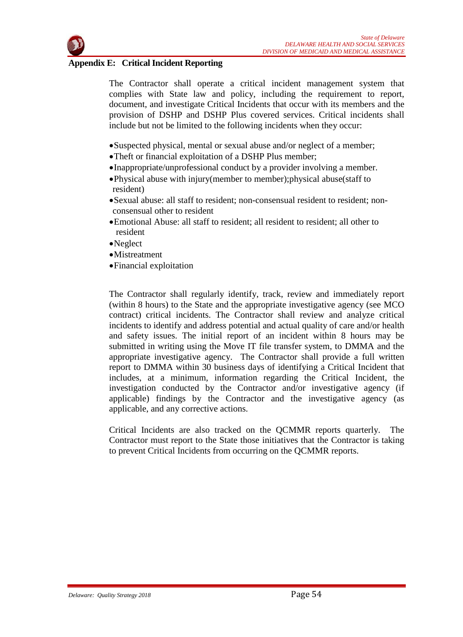

#### **Appendix E: Critical Incident Reporting**

The Contractor shall operate a critical incident management system that complies with State law and policy, including the requirement to report, document, and investigate Critical Incidents that occur with its members and the provision of DSHP and DSHP Plus covered services. Critical incidents shall include but not be limited to the following incidents when they occur:

- •Suspected physical, mental or sexual abuse and/or neglect of a member;
- •Theft or financial exploitation of a DSHP Plus member;
- •Inappropriate/unprofessional conduct by a provider involving a member.
- •Physical abuse with injury(member to member); physical abuse(staff to resident)
- Sexual abuse: all staff to resident; non-consensual resident to resident; nonconsensual other to resident
- •Emotional Abuse: all staff to resident; all resident to resident; all other to resident
- •Neglect
- •Mistreatment
- •Financial exploitation

The Contractor shall regularly identify, track, review and immediately report (within 8 hours) to the State and the appropriate investigative agency (see MCO contract) critical incidents. The Contractor shall review and analyze critical incidents to identify and address potential and actual quality of care and/or health and safety issues. The initial report of an incident within 8 hours may be submitted in writing using the Move IT file transfer system, to DMMA and the appropriate investigative agency. The Contractor shall provide a full written report to DMMA within 30 business days of identifying a Critical Incident that includes, at a minimum, information regarding the Critical Incident, the investigation conducted by the Contractor and/or investigative agency (if applicable) findings by the Contractor and the investigative agency (as applicable, and any corrective actions.

Critical Incidents are also tracked on the QCMMR reports quarterly. The Contractor must report to the State those initiatives that the Contractor is taking to prevent Critical Incidents from occurring on the QCMMR reports.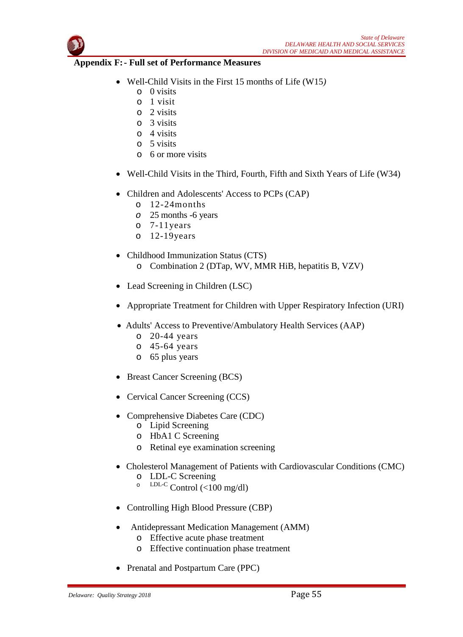

#### **Appendix F:- Full set of Performance Measures**

- Well-Child Visits in the First 15 months of Life (W15*)*
	- o 0 visits
	- o 1 visit
	- o 2 visits
	- o 3 visits
	- o 4 visits
	- o 5 visits
	- o 6 or more visits
- Well-Child Visits in the Third, Fourth, Fifth and Sixth Years of Life (W34)
- Children and Adolescents' Access to PCPs (CAP)
	- o 12-24months
	- *o* 25 months -6 years
	- $\circ$  7-11 years<br> $\circ$  12-19 year
	- $12-19$ years
- Childhood Immunization Status (CTS) o Combination 2 (DTap, WV, MMR HiB, hepatitis B, VZV)
- Lead Screening in Children (LSC)
- Appropriate Treatment for Children with Upper Respiratory Infection (URI)
- Adults' Access to Preventive/Ambulatory Health Services (AAP)
	- o 20-44 years
	- o 45-64 years
	- o 65 plus years
- Breast Cancer Screening (BCS)
- Cervical Cancer Screening (CCS)
- Comprehensive Diabetes Care (CDC)
	- o Lipid Screening
	- o HbA1 C Screening
	- o Retinal eye examination screening
- Cholesterol Management of Patients with Cardiovascular Conditions (CMC)
	- o LDL-C Screening
	- $\overline{C}$  LDL-C Control (<100 mg/dl)
- Controlling High Blood Pressure (CBP)
- Antidepressant Medication Management (AMM)
	- o Effective acute phase treatment
	- o Effective continuation phase treatment
- Prenatal and Postpartum Care (PPC)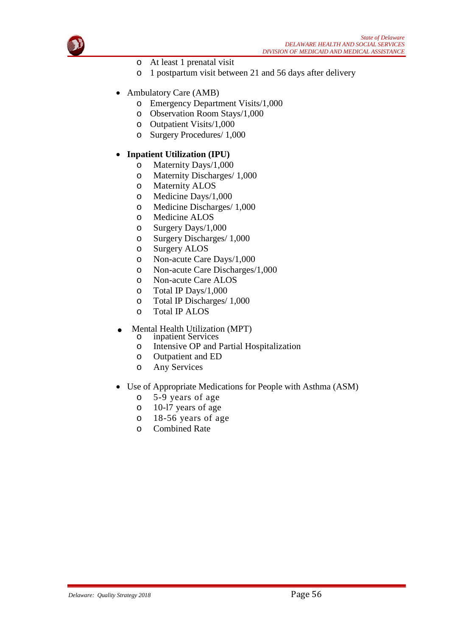

- o At least 1 prenatal visit
- o 1 postpartum visit between 21 and 56 days after delivery
- Ambulatory Care (AMB)
	- o Emergency Department Visits/1,000
	- o Observation Room Stays/1,000
	- o Outpatient Visits/1,000
	- o Surgery Procedures/ 1,000
- • **Inpatient Utilization (IPU)**
	- o Maternity Days/1,000
	- o Maternity Discharges/ 1,000
	- o Maternity ALOS
	- o Medicine Days/1,000
	- o Medicine Discharges/ 1,000
	- o Medicine ALOS
	- o Surgery Days/1,000
	- o Surgery Discharges/ 1,000
	- o Surgery ALOS
	- o Non-acute Care Days/1,000
	- o Non-acute Care Discharges/1,000
	- o Non-acute Care ALOS
	-
	- o Total IP Days/1,000<br>
	o Total IP Discharges/ Total IP Discharges/ 1,000
	- o Total IP ALOS
- Mental Health Utilization (MPT)<br>  $\circ$  inpatient Services
	- o inpatient Services<br>
	o Intensive OP and
	- Intensive OP and Partial Hospitalization
	- o Outpatient and ED
	- o Any Services
- Use of Appropriate Medications for People with Asthma (ASM)
	- o 5-9 years of age
	- o 10-l7 years of age
	- o 18-56 years of age
	- o Combined Rate

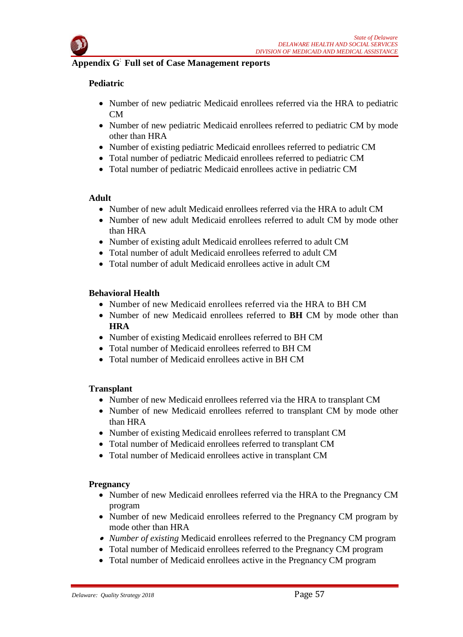

# **Appendix G**: **Full set of Case Management reports**

# **Pediatric**

- Number of new pediatric Medicaid enrollees referred via the HRA to pediatric  $CM$
- Number of new pediatric Medicaid enrollees referred to pediatric CM by mode other than HRA
- Number of existing pediatric Medicaid enrollees referred to pediatric CM
- Total number of pediatric Medicaid enrollees referred to pediatric CM
- Total number of pediatric Medicaid enrollees active in pediatric CM

# **Adult**

- Number of new adult Medicaid enrollees referred via the HRA to adult CM
- Number of new adult Medicaid enrollees referred to adult CM by mode other than HRA
- Number of existing adult Medicaid enrollees referred to adult CM
- Total number of adult Medicaid enrollees referred to adult CM
- Total number of adult Medicaid enrollees active in adult CM

# **Behavioral Health**

- Number of new Medicaid enrollees referred via the HRA to BH CM
- Number of new Medicaid enrollees referred to **BH** CM by mode other than **HRA**
- Number of existing Medicaid enrollees referred to BH CM
- Total number of Medicaid enrollees referred to BH CM
- Total number of Medicaid enrollees active in BH CM

# **Transplant**

- Number of new Medicaid enrollees referred via the HRA to transplant CM
- Number of new Medicaid enrollees referred to transplant CM by mode other than HRA
- Number of existing Medicaid enrollees referred to transplant CM
- Total number of Medicaid enrollees referred to transplant CM
- Total number of Medicaid enrollees active in transplant CM

# **Pregnancy**

- Number of new Medicaid enrollees referred via the HRA to the Pregnancy CM program
- Number of new Medicaid enrollees referred to the Pregnancy CM program by mode other than HRA
- *Number of existing* Medicaid enrollees referred to the Pregnancy CM program
- Total number of Medicaid enrollees referred to the Pregnancy CM program
- Total number of Medicaid enrollees active in the Pregnancy CM program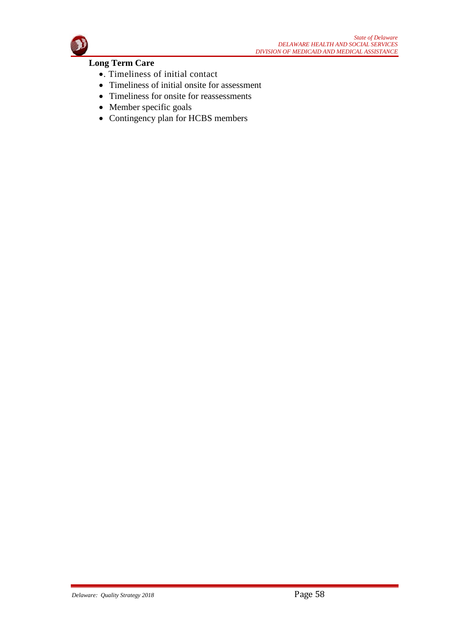

# **Long Term Care**

- •. Timeliness of initial contact
- Timeliness of initial onsite for assessment
- Timeliness for onsite for reassessments
- Member specific goals
- Contingency plan for HCBS members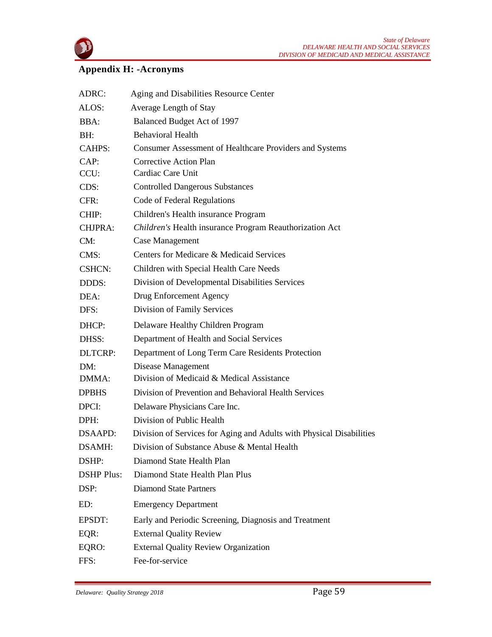

# **Appendix H: -Acronyms**

| ADRC:             | Aging and Disabilities Resource Center                               |  |  |
|-------------------|----------------------------------------------------------------------|--|--|
| ALOS:             | Average Length of Stay                                               |  |  |
| BBA:              | Balanced Budget Act of 1997                                          |  |  |
| BH:               | <b>Behavioral Health</b>                                             |  |  |
| CAHPS:            | Consumer Assessment of Healthcare Providers and Systems              |  |  |
| CAP:              | <b>Corrective Action Plan</b>                                        |  |  |
| CCU:              | Cardiac Care Unit                                                    |  |  |
| CDS:              | <b>Controlled Dangerous Substances</b>                               |  |  |
| CFR:              | Code of Federal Regulations                                          |  |  |
| CHIP:             | Children's Health insurance Program                                  |  |  |
| <b>CHJPRA:</b>    | Children's Health insurance Program Reauthorization Act              |  |  |
| CM:               | <b>Case Management</b>                                               |  |  |
| CMS:              | Centers for Medicare & Medicaid Services                             |  |  |
| <b>CSHCN:</b>     | Children with Special Health Care Needs                              |  |  |
| DDDS:             | Division of Developmental Disabilities Services                      |  |  |
| DEA:              | Drug Enforcement Agency                                              |  |  |
| DFS:              | Division of Family Services                                          |  |  |
| DHCP:             | Delaware Healthy Children Program                                    |  |  |
| DHSS:             | Department of Health and Social Services                             |  |  |
| <b>DLTCRP:</b>    | Department of Long Term Care Residents Protection                    |  |  |
| DM:               | Disease Management                                                   |  |  |
| DMMA:             | Division of Medicaid & Medical Assistance                            |  |  |
| <b>DPBHS</b>      | Division of Prevention and Behavioral Health Services                |  |  |
| DPCI:             | Delaware Physicians Care Inc.                                        |  |  |
| DPH:              | Division of Public Health                                            |  |  |
| DSAAPD:           | Division of Services for Aging and Adults with Physical Disabilities |  |  |
| DSAMH:            | Division of Substance Abuse & Mental Health                          |  |  |
| DSHP:             | Diamond State Health Plan                                            |  |  |
| <b>DSHP Plus:</b> | Diamond State Health Plan Plus                                       |  |  |
| DSP:              | <b>Diamond State Partners</b>                                        |  |  |
| ED:               | <b>Emergency Department</b>                                          |  |  |
| EPSDT:            | Early and Periodic Screening, Diagnosis and Treatment                |  |  |
| EQR:              | <b>External Quality Review</b>                                       |  |  |
| EQRO:             | <b>External Quality Review Organization</b>                          |  |  |
| FFS:              | Fee-for-service                                                      |  |  |
|                   |                                                                      |  |  |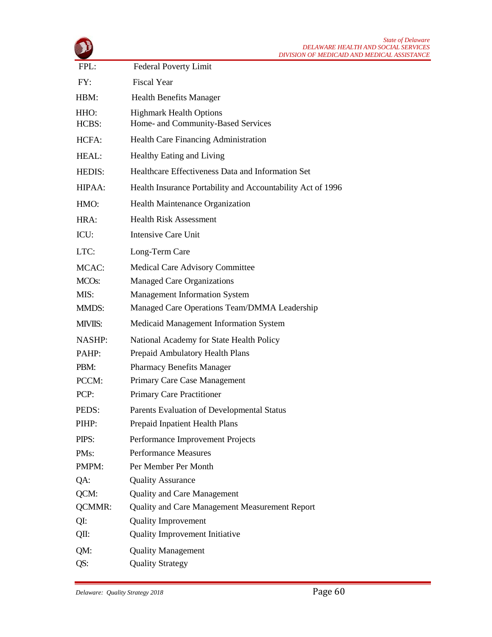|                    | <i>State of Delaware</i><br>DELAWARE HEALTH AND SOCIAL SERVICES<br>DIVISION OF MEDICAID AND MEDICAL ASSISTANCE |
|--------------------|----------------------------------------------------------------------------------------------------------------|
| FPL:               | <b>Federal Poverty Limit</b>                                                                                   |
| FY:                | <b>Fiscal Year</b>                                                                                             |
| HBM:               | <b>Health Benefits Manager</b>                                                                                 |
| HHO:<br>HCBS:      | <b>Highmark Health Options</b><br>Home- and Community-Based Services                                           |
| HCFA:              | Health Care Financing Administration                                                                           |
| HEAL:              | <b>Healthy Eating and Living</b>                                                                               |
| HEDIS:             | Healthcare Effectiveness Data and Information Set                                                              |
| HIPAA:             | Health Insurance Portability and Accountability Act of 1996                                                    |
| HMO:               | Health Maintenance Organization                                                                                |
| HRA:               | <b>Health Risk Assessment</b>                                                                                  |
| ICU:               | <b>Intensive Care Unit</b>                                                                                     |
| LTC:               | Long-Term Care                                                                                                 |
| MCAC:              | Medical Care Advisory Committee                                                                                |
| MCO <sub>s</sub> : | <b>Managed Care Organizations</b>                                                                              |
| MIS:               | <b>Management Information System</b>                                                                           |
| <b>MMDS:</b>       | Managed Care Operations Team/DMMA Leadership                                                                   |
| MIVIIS:            | Medicaid Management Information System                                                                         |
| <b>NASHP:</b>      | National Academy for State Health Policy                                                                       |
| PAHP:              | Prepaid Ambulatory Health Plans                                                                                |
| PBM:               | <b>Pharmacy Benefits Manager</b>                                                                               |
| PCCM:              | Primary Care Case Management                                                                                   |
| PCP:               | <b>Primary Care Practitioner</b>                                                                               |
| PEDS:              | Parents Evaluation of Developmental Status                                                                     |
| PIHP:              | Prepaid Inpatient Health Plans                                                                                 |
| PIPS:              | Performance Improvement Projects                                                                               |
| PMs:               | <b>Performance Measures</b>                                                                                    |
| PMPM:              | Per Member Per Month                                                                                           |
| QA:                | <b>Quality Assurance</b>                                                                                       |
| QCM:               | <b>Quality and Care Management</b>                                                                             |
| <b>QCMMR:</b>      | Quality and Care Management Measurement Report                                                                 |
| QI:                | <b>Quality Improvement</b>                                                                                     |
| QII:               | <b>Quality Improvement Initiative</b>                                                                          |
| QM:<br>QS:         | <b>Quality Management</b><br><b>Quality Strategy</b>                                                           |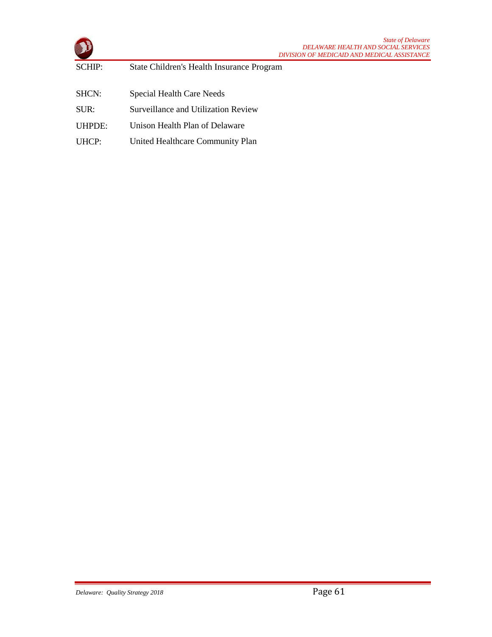|        |                                           | <b>State of Delaware</b><br><b>DELAWARE HEALTH AND SOCIAL SERVICES</b><br>DIVISION OF MEDICAID AND MEDICAL ASSISTANCE |
|--------|-------------------------------------------|-----------------------------------------------------------------------------------------------------------------------|
| SCHIP: | State Children's Health Insurance Program |                                                                                                                       |
|        |                                           |                                                                                                                       |
| SHCN:  | Special Health Care Needs                 |                                                                                                                       |
| SIIR:  | Surveillance and Utilization Review       |                                                                                                                       |
| UHPDE: | Unison Health Plan of Delaware            |                                                                                                                       |
| UHCP:  | United Healthcare Community Plan          |                                                                                                                       |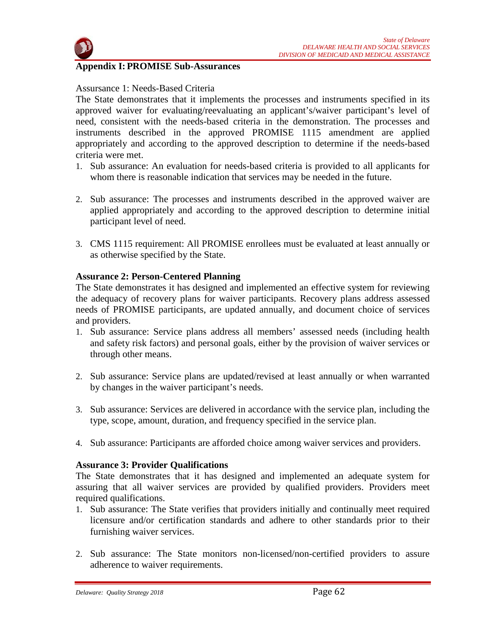



#### **Appendix I: PROMISE Sub-Assurances**

#### Assursance 1: Needs-Based Criteria

The State demonstrates that it implements the processes and instruments specified in its approved waiver for evaluating/reevaluating an applicant's/waiver participant's level of need, consistent with the needs-based criteria in the demonstration. The processes and instruments described in the approved PROMISE 1115 amendment are applied appropriately and according to the approved description to determine if the needs-based criteria were met.

- 1. Sub assurance: An evaluation for needs-based criteria is provided to all applicants for whom there is reasonable indication that services may be needed in the future.
- 2. Sub assurance: The processes and instruments described in the approved waiver are applied appropriately and according to the approved description to determine initial participant level of need.
- 3. CMS 1115 requirement: All PROMISE enrollees must be evaluated at least annually or as otherwise specified by the State.

#### **Assurance 2: Person-Centered Planning**

The State demonstrates it has designed and implemented an effective system for reviewing the adequacy of recovery plans for waiver participants. Recovery plans address assessed needs of PROMISE participants, are updated annually, and document choice of services and providers.

- 1. Sub assurance: Service plans address all members' assessed needs (including health and safety risk factors) and personal goals, either by the provision of waiver services or through other means.
- 2. Sub assurance: Service plans are updated/revised at least annually or when warranted by changes in the waiver participant's needs.
- 3. Sub assurance: Services are delivered in accordance with the service plan, including the type, scope, amount, duration, and frequency specified in the service plan.
- 4. Sub assurance: Participants are afforded choice among waiver services and providers.

#### **Assurance 3: Provider Qualifications**

The State demonstrates that it has designed and implemented an adequate system for assuring that all waiver services are provided by qualified providers. Providers meet required qualifications.

- 1. Sub assurance: The State verifies that providers initially and continually meet required licensure and/or certification standards and adhere to other standards prior to their furnishing waiver services.
- 2. Sub assurance: The State monitors non-licensed/non-certified providers to assure adherence to waiver requirements.